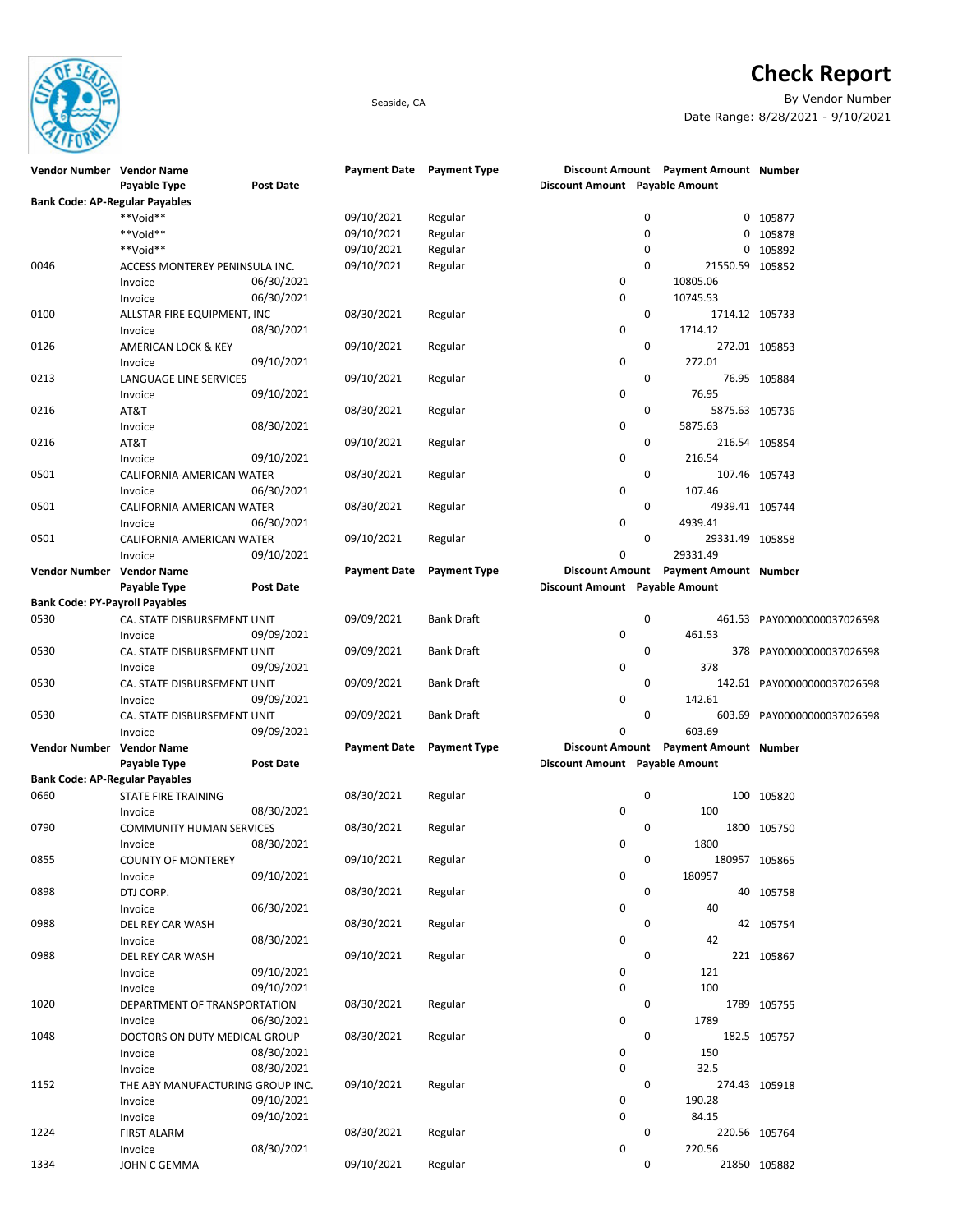

## **Check Report**

Seaside, CA By Vendor Number Date Range: 8/28/2021 - 9/10/2021

| Vendor Number Vendor Name             |                                  |            |                     | Payment Date Payment Type |                                | Discount Amount Payment Amount Number |                             |
|---------------------------------------|----------------------------------|------------|---------------------|---------------------------|--------------------------------|---------------------------------------|-----------------------------|
|                                       | Payable Type                     | Post Date  |                     |                           | Discount Amount Payable Amount |                                       |                             |
| <b>Bank Code: AP-Regular Payables</b> |                                  |            |                     |                           |                                |                                       |                             |
|                                       | **Void**                         |            | 09/10/2021          | Regular                   |                                | 0                                     | 0 105877                    |
|                                       | **Void**                         |            | 09/10/2021          | Regular                   |                                | 0<br>0                                | 105878                      |
|                                       | **Void**                         |            | 09/10/2021          |                           |                                | 0<br>0                                | 105892                      |
|                                       |                                  |            |                     | Regular                   |                                |                                       |                             |
| 0046                                  | ACCESS MONTEREY PENINSULA INC.   |            | 09/10/2021          | Regular                   |                                | 0<br>21550.59 105852                  |                             |
|                                       | Invoice                          | 06/30/2021 |                     |                           | 0                              | 10805.06                              |                             |
|                                       | Invoice                          | 06/30/2021 |                     |                           | 0                              | 10745.53                              |                             |
| 0100                                  | ALLSTAR FIRE EQUIPMENT, INC      |            | 08/30/2021          | Regular                   |                                | 0<br>1714.12 105733                   |                             |
|                                       | Invoice                          | 08/30/2021 |                     |                           | 0                              | 1714.12                               |                             |
| 0126                                  | AMERICAN LOCK & KEY              |            | 09/10/2021          | Regular                   |                                | $\mathbf 0$                           | 272.01 105853               |
|                                       | Invoice                          | 09/10/2021 |                     |                           | 0                              | 272.01                                |                             |
| 0213                                  |                                  |            | 09/10/2021          |                           |                                | 0                                     |                             |
|                                       | LANGUAGE LINE SERVICES           |            |                     | Regular                   |                                |                                       | 76.95 105884                |
|                                       | Invoice                          | 09/10/2021 |                     |                           | 0                              | 76.95                                 |                             |
| 0216                                  | AT&T                             |            | 08/30/2021          | Regular                   |                                | 0<br>5875.63 105736                   |                             |
|                                       | Invoice                          | 08/30/2021 |                     |                           | 0                              | 5875.63                               |                             |
| 0216                                  | AT&T                             |            | 09/10/2021          | Regular                   |                                | 0                                     | 216.54 105854               |
|                                       | Invoice                          | 09/10/2021 |                     |                           | 0                              | 216.54                                |                             |
| 0501                                  | CALIFORNIA-AMERICAN WATER        |            | 08/30/2021          | Regular                   |                                | 0                                     | 107.46 105743               |
|                                       | Invoice                          | 06/30/2021 |                     |                           | 0                              | 107.46                                |                             |
| 0501                                  |                                  |            | 08/30/2021          |                           |                                | 0                                     |                             |
|                                       | CALIFORNIA-AMERICAN WATER        |            |                     | Regular                   |                                | 4939.41 105744                        |                             |
|                                       | Invoice                          | 06/30/2021 |                     |                           | 0                              | 4939.41                               |                             |
| 0501                                  | CALIFORNIA-AMERICAN WATER        |            | 09/10/2021          | Regular                   |                                | 0<br>29331.49 105858                  |                             |
|                                       | Invoice                          | 09/10/2021 |                     |                           | 0                              | 29331.49                              |                             |
| Vendor Number Vendor Name             |                                  |            | <b>Payment Date</b> | <b>Payment Type</b>       |                                | Discount Amount Payment Amount Number |                             |
|                                       | Payable Type                     | Post Date  |                     |                           | Discount Amount Payable Amount |                                       |                             |
| <b>Bank Code: PY-Payroll Payables</b> |                                  |            |                     |                           |                                |                                       |                             |
| 0530                                  | CA. STATE DISBURSEMENT UNIT      |            | 09/09/2021          | Bank Draft                |                                | 0                                     | 461.53 PAY00000000037026598 |
|                                       |                                  | 09/09/2021 |                     |                           | 0                              | 461.53                                |                             |
|                                       | Invoice                          |            |                     |                           |                                |                                       |                             |
| 0530                                  | CA. STATE DISBURSEMENT UNIT      |            | 09/09/2021          | Bank Draft                |                                | 0                                     | 378 PAY00000000037026598    |
|                                       | Invoice                          | 09/09/2021 |                     |                           | 0                              | 378                                   |                             |
| 0530                                  | CA. STATE DISBURSEMENT UNIT      |            | 09/09/2021          | Bank Draft                |                                | 0                                     | 142.61 PAY00000000037026598 |
|                                       | Invoice                          | 09/09/2021 |                     |                           | 0                              | 142.61                                |                             |
| 0530                                  | CA. STATE DISBURSEMENT UNIT      |            | 09/09/2021          | Bank Draft                |                                | 0                                     | 603.69 PAY00000000037026598 |
|                                       | Invoice                          | 09/09/2021 |                     |                           | 0                              | 603.69                                |                             |
| Vendor Number Vendor Name             |                                  |            | <b>Payment Date</b> | <b>Payment Type</b>       |                                | Discount Amount Payment Amount Number |                             |
|                                       |                                  | Post Date  |                     |                           | Discount Amount Payable Amount |                                       |                             |
|                                       | Payable Type                     |            |                     |                           |                                |                                       |                             |
| <b>Bank Code: AP-Regular Payables</b> |                                  |            |                     |                           |                                |                                       |                             |
| 0660                                  | <b>STATE FIRE TRAINING</b>       |            | 08/30/2021          | Regular                   |                                | 0                                     | 100 105820                  |
|                                       | Invoice                          | 08/30/2021 |                     |                           | 0                              | 100                                   |                             |
| 0790                                  | <b>COMMUNITY HUMAN SERVICES</b>  |            | 08/30/2021          | Regular                   |                                | 0                                     | 1800 105750                 |
|                                       | Invoice                          | 08/30/2021 |                     |                           | 0                              | 1800                                  |                             |
| 0855                                  | <b>COUNTY OF MONTEREY</b>        |            | 09/10/2021          | Regular                   |                                | 0                                     | 180957 105865               |
|                                       | Invoice                          | 09/10/2021 |                     |                           | 0                              | 180957                                |                             |
| 0898                                  | DTJ CORP.                        |            | 08/30/2021          | Regular                   |                                | 0                                     | 40 105758                   |
|                                       |                                  | 06/30/2021 |                     |                           | 0                              |                                       |                             |
|                                       | Invoice                          |            |                     |                           |                                | 40                                    |                             |
| 0988                                  | DEL REY CAR WASH                 |            | 08/30/2021          | Regular                   |                                | 0                                     | 42 105754                   |
|                                       | Invoice                          | 08/30/2021 |                     |                           | 0                              | 42                                    |                             |
| 0988                                  | DEL REY CAR WASH                 |            | 09/10/2021          | Regular                   |                                | 0                                     | 221 105867                  |
|                                       | Invoice                          | 09/10/2021 |                     |                           | 0                              | 121                                   |                             |
|                                       | Invoice                          | 09/10/2021 |                     |                           | 0                              | 100                                   |                             |
| 1020                                  | DEPARTMENT OF TRANSPORTATION     |            | 08/30/2021          | Regular                   |                                | 0                                     | 1789 105755                 |
|                                       | Invoice                          | 06/30/2021 |                     |                           | 0                              | 1789                                  |                             |
| 1048                                  |                                  |            |                     |                           |                                | 0                                     |                             |
|                                       | DOCTORS ON DUTY MEDICAL GROUP    |            | 08/30/2021          | Regular                   |                                |                                       | 182.5 105757                |
|                                       | Invoice                          | 08/30/2021 |                     |                           | 0                              | 150                                   |                             |
|                                       | Invoice                          | 08/30/2021 |                     |                           | 0                              | 32.5                                  |                             |
| 1152                                  | THE ABY MANUFACTURING GROUP INC. |            | 09/10/2021          | Regular                   |                                | 0                                     | 274.43 105918               |
|                                       | Invoice                          | 09/10/2021 |                     |                           | 0                              | 190.28                                |                             |
|                                       | Invoice                          | 09/10/2021 |                     |                           | 0                              | 84.15                                 |                             |
| 1224                                  | <b>FIRST ALARM</b>               |            | 08/30/2021          | Regular                   |                                | 0                                     | 220.56 105764               |
|                                       | Invoice                          | 08/30/2021 |                     |                           | 0                              | 220.56                                |                             |
| 1334                                  | JOHN C GEMMA                     |            | 09/10/2021          | Regular                   |                                | 0                                     | 21850 105882                |
|                                       |                                  |            |                     |                           |                                |                                       |                             |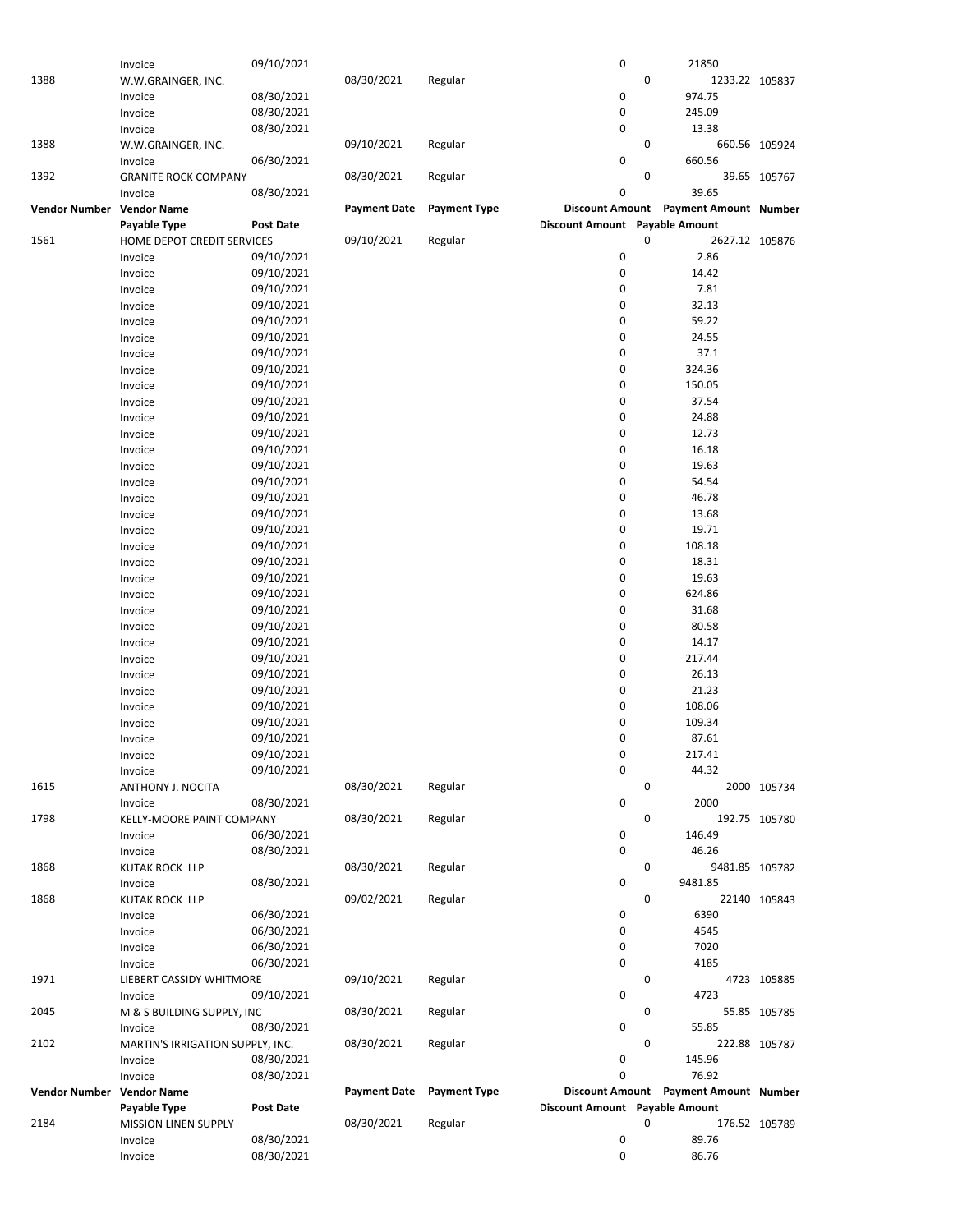|                      | Invoice                          | 09/10/2021       |                     |                     | 0                              |   | 21850                                 |               |
|----------------------|----------------------------------|------------------|---------------------|---------------------|--------------------------------|---|---------------------------------------|---------------|
| 1388                 | W.W.GRAINGER, INC.               |                  | 08/30/2021          | Regular             |                                | 0 | 1233.22 105837                        |               |
|                      |                                  |                  |                     |                     |                                |   |                                       |               |
|                      | Invoice                          | 08/30/2021       |                     |                     | 0                              |   | 974.75                                |               |
|                      | Invoice                          | 08/30/2021       |                     |                     | 0                              |   | 245.09                                |               |
|                      | Invoice                          | 08/30/2021       |                     |                     | 0                              |   | 13.38                                 |               |
|                      |                                  |                  |                     |                     |                                |   |                                       |               |
| 1388                 | W.W.GRAINGER, INC.               |                  | 09/10/2021          | Regular             |                                | 0 |                                       | 660.56 105924 |
|                      | Invoice                          | 06/30/2021       |                     |                     | 0                              |   | 660.56                                |               |
| 1392                 | <b>GRANITE ROCK COMPANY</b>      |                  | 08/30/2021          | Regular             |                                | 0 |                                       | 39.65 105767  |
|                      | Invoice                          | 08/30/2021       |                     |                     | 0                              |   | 39.65                                 |               |
|                      |                                  |                  |                     |                     |                                |   |                                       |               |
| <b>Vendor Number</b> | <b>Vendor Name</b>               |                  | <b>Payment Date</b> | <b>Payment Type</b> |                                |   | Discount Amount Payment Amount Number |               |
|                      | Payable Type                     | <b>Post Date</b> |                     |                     | Discount Amount Payable Amount |   |                                       |               |
| 1561                 | HOME DEPOT CREDIT SERVICES       |                  | 09/10/2021          | Regular             |                                | 0 | 2627.12 105876                        |               |
|                      |                                  |                  |                     |                     |                                |   |                                       |               |
|                      | Invoice                          | 09/10/2021       |                     |                     | 0                              |   | 2.86                                  |               |
|                      | Invoice                          | 09/10/2021       |                     |                     | 0                              |   | 14.42                                 |               |
|                      | Invoice                          | 09/10/2021       |                     |                     | 0                              |   | 7.81                                  |               |
|                      |                                  |                  |                     |                     |                                |   |                                       |               |
|                      | Invoice                          | 09/10/2021       |                     |                     | 0                              |   | 32.13                                 |               |
|                      | Invoice                          | 09/10/2021       |                     |                     | 0                              |   | 59.22                                 |               |
|                      | Invoice                          | 09/10/2021       |                     |                     | 0                              |   | 24.55                                 |               |
|                      |                                  | 09/10/2021       |                     |                     | 0                              |   | 37.1                                  |               |
|                      | Invoice                          |                  |                     |                     |                                |   |                                       |               |
|                      | Invoice                          | 09/10/2021       |                     |                     | 0                              |   | 324.36                                |               |
|                      | Invoice                          | 09/10/2021       |                     |                     | 0                              |   | 150.05                                |               |
|                      | Invoice                          | 09/10/2021       |                     |                     | 0                              |   | 37.54                                 |               |
|                      |                                  |                  |                     |                     |                                |   |                                       |               |
|                      | Invoice                          | 09/10/2021       |                     |                     | 0                              |   | 24.88                                 |               |
|                      | Invoice                          | 09/10/2021       |                     |                     | 0                              |   | 12.73                                 |               |
|                      | Invoice                          | 09/10/2021       |                     |                     | 0                              |   | 16.18                                 |               |
|                      |                                  |                  |                     |                     | 0                              |   |                                       |               |
|                      | Invoice                          | 09/10/2021       |                     |                     |                                |   | 19.63                                 |               |
|                      | Invoice                          | 09/10/2021       |                     |                     | 0                              |   | 54.54                                 |               |
|                      | Invoice                          | 09/10/2021       |                     |                     | 0                              |   | 46.78                                 |               |
|                      | Invoice                          | 09/10/2021       |                     |                     | 0                              |   | 13.68                                 |               |
|                      |                                  |                  |                     |                     |                                |   |                                       |               |
|                      | Invoice                          | 09/10/2021       |                     |                     | 0                              |   | 19.71                                 |               |
|                      | Invoice                          | 09/10/2021       |                     |                     | 0                              |   | 108.18                                |               |
|                      | Invoice                          | 09/10/2021       |                     |                     | 0                              |   | 18.31                                 |               |
|                      |                                  |                  |                     |                     | 0                              |   |                                       |               |
|                      | Invoice                          | 09/10/2021       |                     |                     |                                |   | 19.63                                 |               |
|                      | Invoice                          | 09/10/2021       |                     |                     | 0                              |   | 624.86                                |               |
|                      | Invoice                          | 09/10/2021       |                     |                     | 0                              |   | 31.68                                 |               |
|                      |                                  | 09/10/2021       |                     |                     | 0                              |   | 80.58                                 |               |
|                      | Invoice                          |                  |                     |                     |                                |   |                                       |               |
|                      | Invoice                          | 09/10/2021       |                     |                     | 0                              |   | 14.17                                 |               |
|                      | Invoice                          | 09/10/2021       |                     |                     | 0                              |   | 217.44                                |               |
|                      | Invoice                          | 09/10/2021       |                     |                     | 0                              |   | 26.13                                 |               |
|                      |                                  |                  |                     |                     |                                |   |                                       |               |
|                      | Invoice                          | 09/10/2021       |                     |                     | 0                              |   | 21.23                                 |               |
|                      | Invoice                          | 09/10/2021       |                     |                     | 0                              |   | 108.06                                |               |
|                      | Invoice                          | 09/10/2021       |                     |                     | 0                              |   | 109.34                                |               |
|                      |                                  |                  |                     |                     |                                |   |                                       |               |
|                      | Invoice                          | 09/10/2021       |                     |                     | 0                              |   | 87.61                                 |               |
|                      | Invoice                          | 09/10/2021       |                     |                     | 0                              |   | 217.41                                |               |
|                      | Invoice                          | 09/10/2021       |                     |                     | 0                              |   | 44.32                                 |               |
| 1615                 | ANTHONY J. NOCITA                |                  | 08/30/2021          | Regular             |                                | 0 |                                       | 2000 105734   |
|                      |                                  |                  |                     |                     |                                |   |                                       |               |
|                      | Invoice                          | 08/30/2021       |                     |                     | 0                              |   | 2000                                  |               |
| 1798                 | KELLY-MOORE PAINT COMPANY        |                  | 08/30/2021          | Regular             |                                | 0 |                                       | 192.75 105780 |
|                      | Invoice                          | 06/30/2021       |                     |                     | 0                              |   | 146.49                                |               |
|                      | Invoice                          | 08/30/2021       |                     |                     | 0                              |   | 46.26                                 |               |
|                      |                                  |                  |                     |                     |                                |   |                                       |               |
| 1868                 | <b>KUTAK ROCK LLP</b>            |                  | 08/30/2021          | Regular             |                                | 0 | 9481.85 105782                        |               |
|                      | Invoice                          | 08/30/2021       |                     |                     | 0                              |   | 9481.85                               |               |
| 1868                 | <b>KUTAK ROCK LLP</b>            |                  | 09/02/2021          | Regular             |                                | 0 |                                       | 22140 105843  |
|                      |                                  |                  |                     |                     |                                |   |                                       |               |
|                      | Invoice                          | 06/30/2021       |                     |                     | 0                              |   | 6390                                  |               |
|                      | Invoice                          | 06/30/2021       |                     |                     | 0                              |   | 4545                                  |               |
|                      | Invoice                          | 06/30/2021       |                     |                     | 0                              |   | 7020                                  |               |
|                      |                                  |                  |                     |                     | 0                              |   | 4185                                  |               |
|                      | Invoice                          | 06/30/2021       |                     |                     |                                |   |                                       |               |
| 1971                 | LIEBERT CASSIDY WHITMORE         |                  | 09/10/2021          | Regular             |                                | 0 |                                       | 4723 105885   |
|                      | Invoice                          | 09/10/2021       |                     |                     | 0                              |   | 4723                                  |               |
| 2045                 |                                  |                  | 08/30/2021          | Regular             |                                | 0 |                                       | 55.85 105785  |
|                      | M & S BUILDING SUPPLY, INC       |                  |                     |                     |                                |   |                                       |               |
|                      | Invoice                          | 08/30/2021       |                     |                     | 0                              |   | 55.85                                 |               |
| 2102                 | MARTIN'S IRRIGATION SUPPLY, INC. |                  | 08/30/2021          | Regular             |                                | 0 |                                       | 222.88 105787 |
|                      | Invoice                          | 08/30/2021       |                     |                     | 0                              |   | 145.96                                |               |
|                      |                                  |                  |                     |                     | 0                              |   | 76.92                                 |               |
|                      | Invoice                          | 08/30/2021       |                     |                     |                                |   |                                       |               |
| <b>Vendor Number</b> | <b>Vendor Name</b>               |                  | <b>Payment Date</b> | <b>Payment Type</b> |                                |   | Discount Amount Payment Amount Number |               |
|                      | Payable Type                     | <b>Post Date</b> |                     |                     | Discount Amount Payable Amount |   |                                       |               |
| 2184                 | <b>MISSION LINEN SUPPLY</b>      |                  | 08/30/2021          | Regular             |                                | 0 |                                       | 176.52 105789 |
|                      |                                  |                  |                     |                     |                                |   |                                       |               |
|                      | Invoice                          | 08/30/2021       |                     |                     | 0                              |   | 89.76                                 |               |
|                      | Invoice                          | 08/30/2021       |                     |                     | 0                              |   | 86.76                                 |               |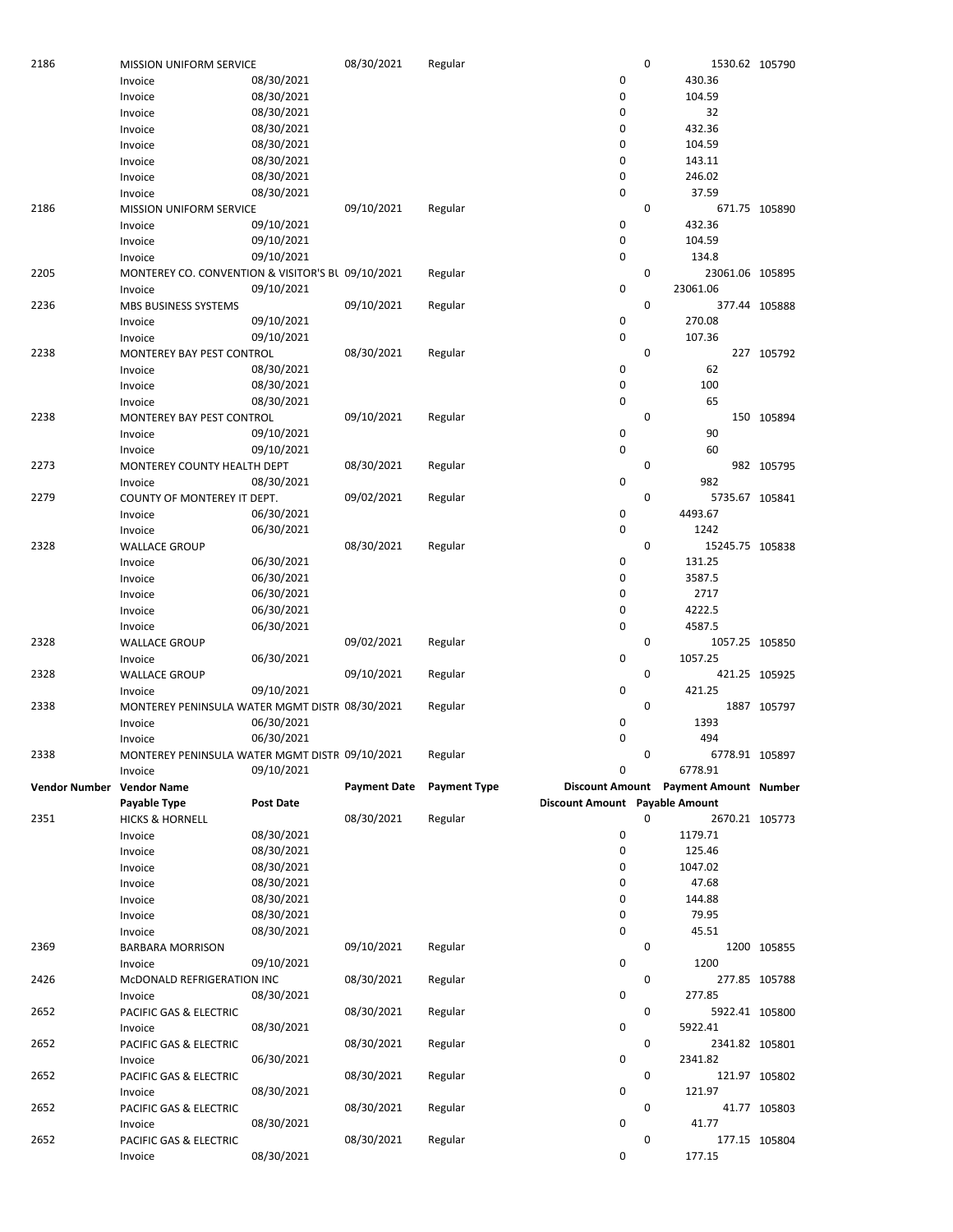| 2186                      | MISSION UNIFORM SERVICE                           |                  | 08/30/2021          | Regular             |                                | 0           | 1530.62 105790                        |               |
|---------------------------|---------------------------------------------------|------------------|---------------------|---------------------|--------------------------------|-------------|---------------------------------------|---------------|
|                           | Invoice                                           | 08/30/2021       |                     |                     | 0                              |             | 430.36                                |               |
|                           | Invoice                                           | 08/30/2021       |                     |                     | 0                              |             | 104.59                                |               |
|                           | Invoice                                           | 08/30/2021       |                     |                     | 0                              |             | 32                                    |               |
|                           | Invoice                                           | 08/30/2021       |                     |                     | 0                              |             | 432.36                                |               |
|                           |                                                   | 08/30/2021       |                     |                     | 0                              |             |                                       |               |
|                           | Invoice                                           |                  |                     |                     |                                |             | 104.59                                |               |
|                           | Invoice                                           | 08/30/2021       |                     |                     | 0                              |             | 143.11                                |               |
|                           | Invoice                                           | 08/30/2021       |                     |                     | 0                              |             | 246.02                                |               |
|                           | Invoice                                           | 08/30/2021       |                     |                     | 0                              |             | 37.59                                 |               |
| 2186                      | <b>MISSION UNIFORM SERVICE</b>                    |                  | 09/10/2021          | Regular             |                                | 0           |                                       | 671.75 105890 |
|                           | Invoice                                           | 09/10/2021       |                     |                     | 0                              |             | 432.36                                |               |
|                           | Invoice                                           | 09/10/2021       |                     |                     | 0                              |             | 104.59                                |               |
|                           | Invoice                                           | 09/10/2021       |                     |                     | 0                              |             | 134.8                                 |               |
| 2205                      |                                                   |                  |                     |                     |                                | 0           | 23061.06 105895                       |               |
|                           | MONTEREY CO. CONVENTION & VISITOR'S BL 09/10/2021 |                  |                     | Regular             |                                |             |                                       |               |
|                           | Invoice                                           | 09/10/2021       |                     |                     | 0                              |             | 23061.06                              |               |
| 2236                      | <b>MBS BUSINESS SYSTEMS</b>                       |                  | 09/10/2021          | Regular             |                                | 0           |                                       | 377.44 105888 |
|                           | Invoice                                           | 09/10/2021       |                     |                     | 0                              |             | 270.08                                |               |
|                           | Invoice                                           | 09/10/2021       |                     |                     | 0                              |             | 107.36                                |               |
| 2238                      | MONTEREY BAY PEST CONTROL                         |                  | 08/30/2021          | Regular             |                                | $\mathbf 0$ |                                       | 227 105792    |
|                           | Invoice                                           | 08/30/2021       |                     |                     | 0                              |             | 62                                    |               |
|                           | Invoice                                           | 08/30/2021       |                     |                     | 0                              |             | 100                                   |               |
|                           | Invoice                                           | 08/30/2021       |                     |                     | 0                              |             | 65                                    |               |
| 2238                      |                                                   |                  | 09/10/2021          | Regular             |                                | 0           |                                       |               |
|                           | MONTEREY BAY PEST CONTROL                         |                  |                     |                     |                                |             |                                       | 150 105894    |
|                           | Invoice                                           | 09/10/2021       |                     |                     | 0                              |             | 90                                    |               |
|                           | Invoice                                           | 09/10/2021       |                     |                     | $\mathbf 0$                    |             | 60                                    |               |
| 2273                      | MONTEREY COUNTY HEALTH DEPT                       |                  | 08/30/2021          | Regular             |                                | $\mathbf 0$ |                                       | 982 105795    |
|                           | Invoice                                           | 08/30/2021       |                     |                     | 0                              |             | 982                                   |               |
| 2279                      | COUNTY OF MONTEREY IT DEPT.                       |                  | 09/02/2021          | Regular             |                                | 0           | 5735.67 105841                        |               |
|                           | Invoice                                           | 06/30/2021       |                     |                     | 0                              |             | 4493.67                               |               |
|                           | Invoice                                           | 06/30/2021       |                     |                     | 0                              |             | 1242                                  |               |
| 2328                      | <b>WALLACE GROUP</b>                              |                  | 08/30/2021          | Regular             |                                | $\mathbf 0$ | 15245.75 105838                       |               |
|                           |                                                   |                  |                     |                     |                                |             |                                       |               |
|                           | Invoice                                           | 06/30/2021       |                     |                     | 0                              |             | 131.25                                |               |
|                           | Invoice                                           | 06/30/2021       |                     |                     | 0                              |             | 3587.5                                |               |
|                           | Invoice                                           | 06/30/2021       |                     |                     | 0                              |             | 2717                                  |               |
|                           | Invoice                                           | 06/30/2021       |                     |                     | 0                              |             | 4222.5                                |               |
|                           | Invoice                                           | 06/30/2021       |                     |                     | 0                              |             | 4587.5                                |               |
| 2328                      | <b>WALLACE GROUP</b>                              |                  | 09/02/2021          | Regular             |                                | 0           | 1057.25 105850                        |               |
|                           | Invoice                                           | 06/30/2021       |                     |                     | 0                              |             | 1057.25                               |               |
| 2328                      | <b>WALLACE GROUP</b>                              |                  | 09/10/2021          | Regular             |                                | 0           |                                       | 421.25 105925 |
|                           |                                                   |                  |                     |                     |                                |             |                                       |               |
|                           | Invoice                                           | 09/10/2021       |                     |                     | 0                              |             | 421.25                                |               |
| 2338                      | MONTEREY PENINSULA WATER MGMT DISTF 08/30/2021    |                  |                     | Regular             |                                | 0           |                                       | 1887 105797   |
|                           | Invoice                                           | 06/30/2021       |                     |                     | 0                              |             | 1393                                  |               |
|                           | Invoice                                           | 06/30/2021       |                     |                     | 0                              |             | 494                                   |               |
| 2338                      | MONTEREY PENINSULA WATER MGMT DISTF 09/10/2021    |                  |                     | Regular             |                                | 0           | 6778.91 105897                        |               |
|                           | Invoice                                           | 09/10/2021       |                     |                     | 0                              |             | 6778.91                               |               |
| Vendor Number Vendor Name |                                                   |                  | <b>Payment Date</b> | <b>Payment Type</b> |                                |             | Discount Amount Payment Amount Number |               |
|                           | Payable Type                                      | <b>Post Date</b> |                     |                     | Discount Amount Payable Amount |             |                                       |               |
| 2351                      | <b>HICKS &amp; HORNELL</b>                        |                  | 08/30/2021          | Regular             |                                | 0           | 2670.21 105773                        |               |
|                           |                                                   | 08/30/2021       |                     |                     |                                |             | 1179.71                               |               |
|                           | Invoice                                           |                  |                     |                     | 0                              |             |                                       |               |
|                           | Invoice                                           | 08/30/2021       |                     |                     | 0                              |             | 125.46                                |               |
|                           | Invoice                                           | 08/30/2021       |                     |                     | 0                              |             | 1047.02                               |               |
|                           | Invoice                                           | 08/30/2021       |                     |                     | 0                              |             | 47.68                                 |               |
|                           | Invoice                                           | 08/30/2021       |                     |                     | 0                              |             | 144.88                                |               |
|                           | Invoice                                           | 08/30/2021       |                     |                     | 0                              |             | 79.95                                 |               |
|                           | Invoice                                           | 08/30/2021       |                     |                     | 0                              |             | 45.51                                 |               |
| 2369                      | <b>BARBARA MORRISON</b>                           |                  | 09/10/2021          | Regular             |                                | 0           |                                       | 1200 105855   |
|                           |                                                   | 09/10/2021       |                     |                     | 0                              |             | 1200                                  |               |
|                           | Invoice                                           |                  |                     |                     |                                |             |                                       |               |
| 2426                      | McDONALD REFRIGERATION INC                        |                  | 08/30/2021          | Regular             |                                | 0           |                                       | 277.85 105788 |
|                           | Invoice                                           | 08/30/2021       |                     |                     | 0                              |             | 277.85                                |               |
| 2652                      | PACIFIC GAS & ELECTRIC                            |                  | 08/30/2021          | Regular             |                                | 0           | 5922.41 105800                        |               |
|                           | Invoice                                           | 08/30/2021       |                     |                     | 0                              |             | 5922.41                               |               |
| 2652                      | PACIFIC GAS & ELECTRIC                            |                  | 08/30/2021          | Regular             |                                | 0           | 2341.82 105801                        |               |
|                           | Invoice                                           | 06/30/2021       |                     |                     | 0                              |             | 2341.82                               |               |
| 2652                      |                                                   |                  |                     |                     |                                |             |                                       |               |
|                           |                                                   |                  |                     |                     |                                | 0           |                                       |               |
|                           | PACIFIC GAS & ELECTRIC                            |                  | 08/30/2021          | Regular             |                                |             | 121.97 105802                         |               |
|                           | Invoice                                           | 08/30/2021       |                     |                     | 0                              |             | 121.97                                |               |
| 2652                      | PACIFIC GAS & ELECTRIC                            |                  | 08/30/2021          | Regular             |                                | 0           |                                       | 41.77 105803  |
|                           | Invoice                                           | 08/30/2021       |                     |                     | 0                              |             | 41.77                                 |               |
| 2652                      | PACIFIC GAS & ELECTRIC<br>Invoice                 | 08/30/2021       | 08/30/2021          | Regular             | 0                              | 0           | 177.15                                | 177.15 105804 |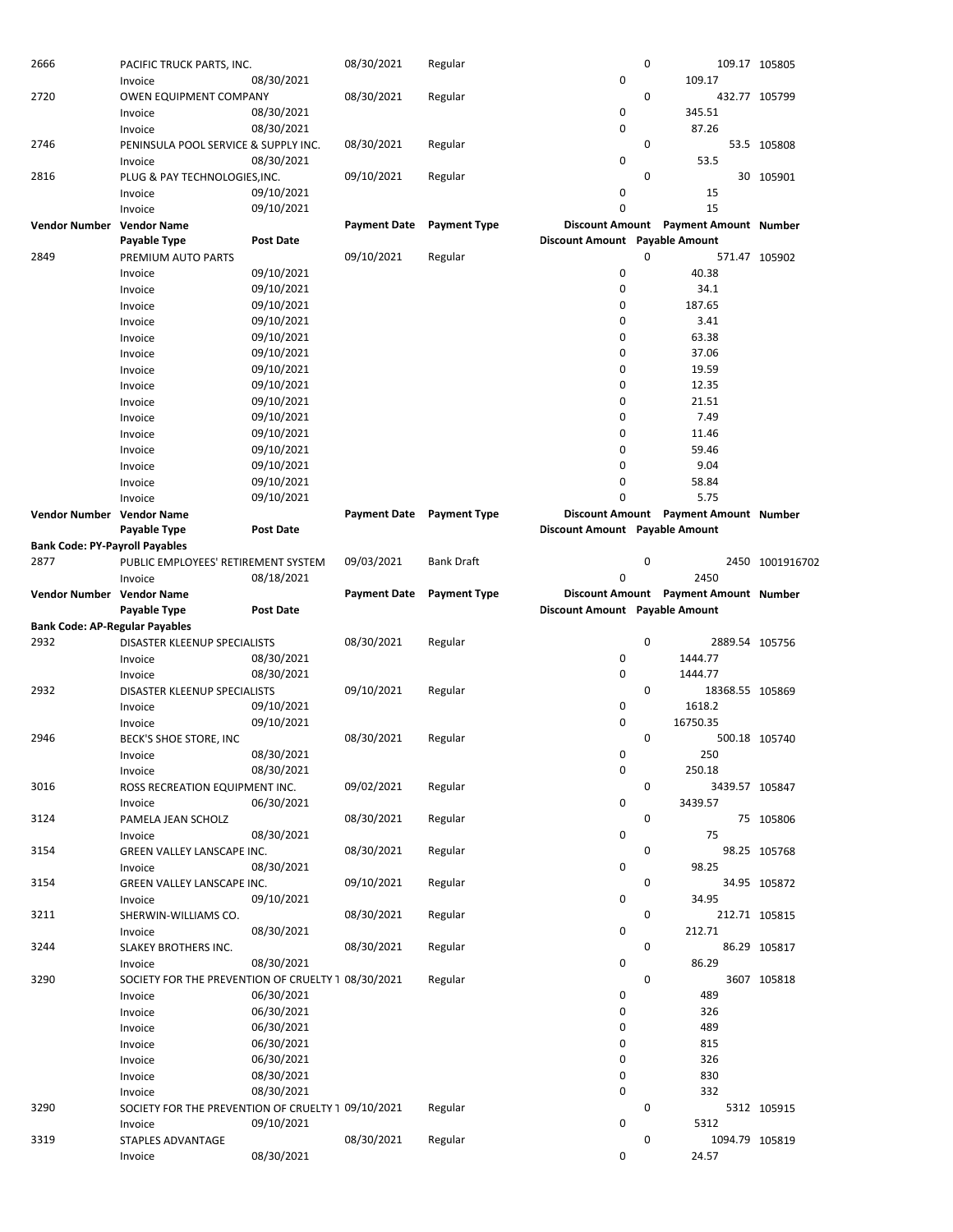| 2666                                  | PACIFIC TRUCK PARTS, INC.                          |                  | 08/30/2021                       | Regular             |                                | 0 |                                       | 109.17 105805   |
|---------------------------------------|----------------------------------------------------|------------------|----------------------------------|---------------------|--------------------------------|---|---------------------------------------|-----------------|
|                                       | Invoice                                            | 08/30/2021       |                                  |                     | 0                              |   | 109.17                                |                 |
| 2720                                  | OWEN EQUIPMENT COMPANY                             |                  | 08/30/2021                       | Regular             |                                | 0 |                                       | 432.77 105799   |
|                                       | Invoice                                            | 08/30/2021       |                                  |                     | 0                              |   | 345.51                                |                 |
|                                       | Invoice                                            | 08/30/2021       |                                  |                     | 0                              |   | 87.26                                 |                 |
| 2746                                  | PENINSULA POOL SERVICE & SUPPLY INC.               |                  | 08/30/2021                       | Regular             |                                | 0 |                                       | 53.5 105808     |
|                                       | Invoice                                            | 08/30/2021       |                                  |                     | 0                              |   | 53.5                                  |                 |
| 2816                                  | PLUG & PAY TECHNOLOGIES, INC.                      |                  | 09/10/2021                       | Regular             |                                | 0 |                                       | 30 105901       |
|                                       | Invoice                                            | 09/10/2021       |                                  |                     | 0                              |   | 15                                    |                 |
|                                       |                                                    |                  |                                  |                     | 0                              |   |                                       |                 |
|                                       | Invoice                                            | 09/10/2021       |                                  |                     |                                |   | 15                                    |                 |
| <b>Vendor Number</b>                  | <b>Vendor Name</b>                                 |                  | <b>Payment Date</b>              | <b>Payment Type</b> |                                |   | Discount Amount Payment Amount Number |                 |
|                                       | Payable Type                                       | Post Date        |                                  |                     | Discount Amount Payable Amount |   |                                       |                 |
| 2849                                  | PREMIUM AUTO PARTS                                 |                  | 09/10/2021                       | Regular             |                                | 0 |                                       | 571.47 105902   |
|                                       | Invoice                                            | 09/10/2021       |                                  |                     | 0                              |   | 40.38                                 |                 |
|                                       | Invoice                                            | 09/10/2021       |                                  |                     | 0                              |   | 34.1                                  |                 |
|                                       | Invoice                                            | 09/10/2021       |                                  |                     | 0                              |   | 187.65                                |                 |
|                                       | Invoice                                            | 09/10/2021       |                                  |                     | 0                              |   | 3.41                                  |                 |
|                                       |                                                    | 09/10/2021       |                                  |                     | 0                              |   | 63.38                                 |                 |
|                                       | Invoice                                            |                  |                                  |                     |                                |   |                                       |                 |
|                                       | Invoice                                            | 09/10/2021       |                                  |                     | 0                              |   | 37.06                                 |                 |
|                                       | Invoice                                            | 09/10/2021       |                                  |                     | 0                              |   | 19.59                                 |                 |
|                                       | Invoice                                            | 09/10/2021       |                                  |                     | 0                              |   | 12.35                                 |                 |
|                                       | Invoice                                            | 09/10/2021       |                                  |                     | 0                              |   | 21.51                                 |                 |
|                                       | Invoice                                            | 09/10/2021       |                                  |                     | 0                              |   | 7.49                                  |                 |
|                                       | Invoice                                            | 09/10/2021       |                                  |                     | 0                              |   | 11.46                                 |                 |
|                                       | Invoice                                            | 09/10/2021       |                                  |                     | 0                              |   | 59.46                                 |                 |
|                                       | Invoice                                            | 09/10/2021       |                                  |                     | 0                              |   | 9.04                                  |                 |
|                                       | Invoice                                            | 09/10/2021       |                                  |                     | 0                              |   | 58.84                                 |                 |
|                                       |                                                    |                  |                                  |                     | O                              |   | 5.75                                  |                 |
|                                       | Invoice                                            | 09/10/2021       |                                  |                     |                                |   |                                       |                 |
| Vendor Number Vendor Name             |                                                    |                  | <b>Payment Date</b> Payment Type |                     |                                |   | Discount Amount Payment Amount Number |                 |
|                                       | Payable Type                                       | <b>Post Date</b> |                                  |                     | Discount Amount Payable Amount |   |                                       |                 |
| <b>Bank Code: PY-Payroll Payables</b> |                                                    |                  |                                  |                     |                                |   |                                       |                 |
| 2877                                  | PUBLIC EMPLOYEES' RETIREMENT SYSTEM                |                  | 09/03/2021                       | <b>Bank Draft</b>   |                                | 0 |                                       | 2450 1001916702 |
|                                       | Invoice                                            | 08/18/2021       |                                  |                     | 0                              |   | 2450                                  |                 |
| Vendor Number Vendor Name             |                                                    |                  | <b>Payment Date</b>              | <b>Payment Type</b> |                                |   | Discount Amount Payment Amount Number |                 |
|                                       | Payable Type                                       | <b>Post Date</b> |                                  |                     | Discount Amount Payable Amount |   |                                       |                 |
| <b>Bank Code: AP-Regular Payables</b> |                                                    |                  |                                  |                     |                                |   |                                       |                 |
| 2932                                  | DISASTER KLEENUP SPECIALISTS                       |                  | 08/30/2021                       | Regular             |                                | 0 | 2889.54 105756                        |                 |
|                                       |                                                    | 08/30/2021       |                                  |                     | 0                              |   | 1444.77                               |                 |
|                                       | Invoice                                            |                  |                                  |                     |                                |   |                                       |                 |
|                                       | Invoice                                            | 08/30/2021       |                                  |                     | 0                              |   | 1444.77                               |                 |
| 2932                                  | DISASTER KLEENUP SPECIALISTS                       |                  | 09/10/2021                       | Regular             |                                | 0 | 18368.55 105869                       |                 |
|                                       | Invoice                                            | 09/10/2021       |                                  |                     | 0                              |   | 1618.2                                |                 |
|                                       | Invoice                                            | 09/10/2021       |                                  |                     | 0                              |   | 16750.35                              |                 |
| 2946                                  | BECK'S SHOE STORE, INC                             |                  | 08/30/2021                       | Regular             |                                | 0 |                                       | 500.18 105740   |
|                                       | Invoice                                            | 08/30/2021       |                                  |                     | 0                              |   | 250                                   |                 |
|                                       | Invoice                                            | 08/30/2021       |                                  |                     | 0                              |   | 250.18                                |                 |
| 3016                                  | ROSS RECREATION EQUIPMENT INC.                     |                  | 09/02/2021                       | Regular             |                                | 0 | 3439.57 105847                        |                 |
|                                       | Invoice                                            | 06/30/2021       |                                  |                     | 0                              |   | 3439.57                               |                 |
| 3124                                  |                                                    |                  |                                  |                     |                                | 0 |                                       |                 |
|                                       | PAMELA JEAN SCHOLZ                                 |                  | 08/30/2021                       | Regular             |                                |   |                                       | 75 105806       |
|                                       | Invoice                                            | 08/30/2021       |                                  |                     | 0                              |   | 75                                    |                 |
| 3154                                  | GREEN VALLEY LANSCAPE INC.                         |                  | 08/30/2021                       | Regular             |                                | 0 |                                       | 98.25 105768    |
|                                       | Invoice                                            | 08/30/2021       |                                  |                     | 0                              |   | 98.25                                 |                 |
| 3154                                  | GREEN VALLEY LANSCAPE INC.                         |                  | 09/10/2021                       | Regular             |                                | 0 |                                       | 34.95 105872    |
|                                       | Invoice                                            | 09/10/2021       |                                  |                     | 0                              |   | 34.95                                 |                 |
| 3211                                  | SHERWIN-WILLIAMS CO.                               |                  | 08/30/2021                       | Regular             |                                | 0 |                                       | 212.71 105815   |
|                                       | Invoice                                            | 08/30/2021       |                                  |                     | 0                              |   | 212.71                                |                 |
| 3244                                  | SLAKEY BROTHERS INC.                               |                  | 08/30/2021                       | Regular             |                                | 0 |                                       | 86.29 105817    |
|                                       | Invoice                                            | 08/30/2021       |                                  |                     | 0                              |   | 86.29                                 |                 |
| 3290                                  |                                                    |                  |                                  |                     |                                | 0 |                                       |                 |
|                                       | SOCIETY FOR THE PREVENTION OF CRUELTY 1 08/30/2021 |                  |                                  | Regular             |                                |   |                                       | 3607 105818     |
|                                       | Invoice                                            | 06/30/2021       |                                  |                     | 0                              |   | 489                                   |                 |
|                                       | Invoice                                            | 06/30/2021       |                                  |                     | 0                              |   | 326                                   |                 |
|                                       | Invoice                                            | 06/30/2021       |                                  |                     | 0                              |   | 489                                   |                 |
|                                       | Invoice                                            | 06/30/2021       |                                  |                     | 0                              |   | 815                                   |                 |
|                                       | Invoice                                            | 06/30/2021       |                                  |                     | 0                              |   | 326                                   |                 |
|                                       | Invoice                                            | 08/30/2021       |                                  |                     | 0                              |   | 830                                   |                 |
|                                       | Invoice                                            | 08/30/2021       |                                  |                     | 0                              |   | 332                                   |                 |
| 3290                                  | SOCIETY FOR THE PREVENTION OF CRUELTY 1 09/10/2021 |                  |                                  | Regular             |                                | 0 |                                       | 5312 105915     |
|                                       | Invoice                                            | 09/10/2021       |                                  |                     | 0                              |   | 5312                                  |                 |
| 3319                                  | STAPLES ADVANTAGE                                  |                  | 08/30/2021                       | Regular             |                                | 0 | 1094.79 105819                        |                 |
|                                       |                                                    | 08/30/2021       |                                  |                     |                                |   | 24.57                                 |                 |
|                                       | Invoice                                            |                  |                                  |                     | 0                              |   |                                       |                 |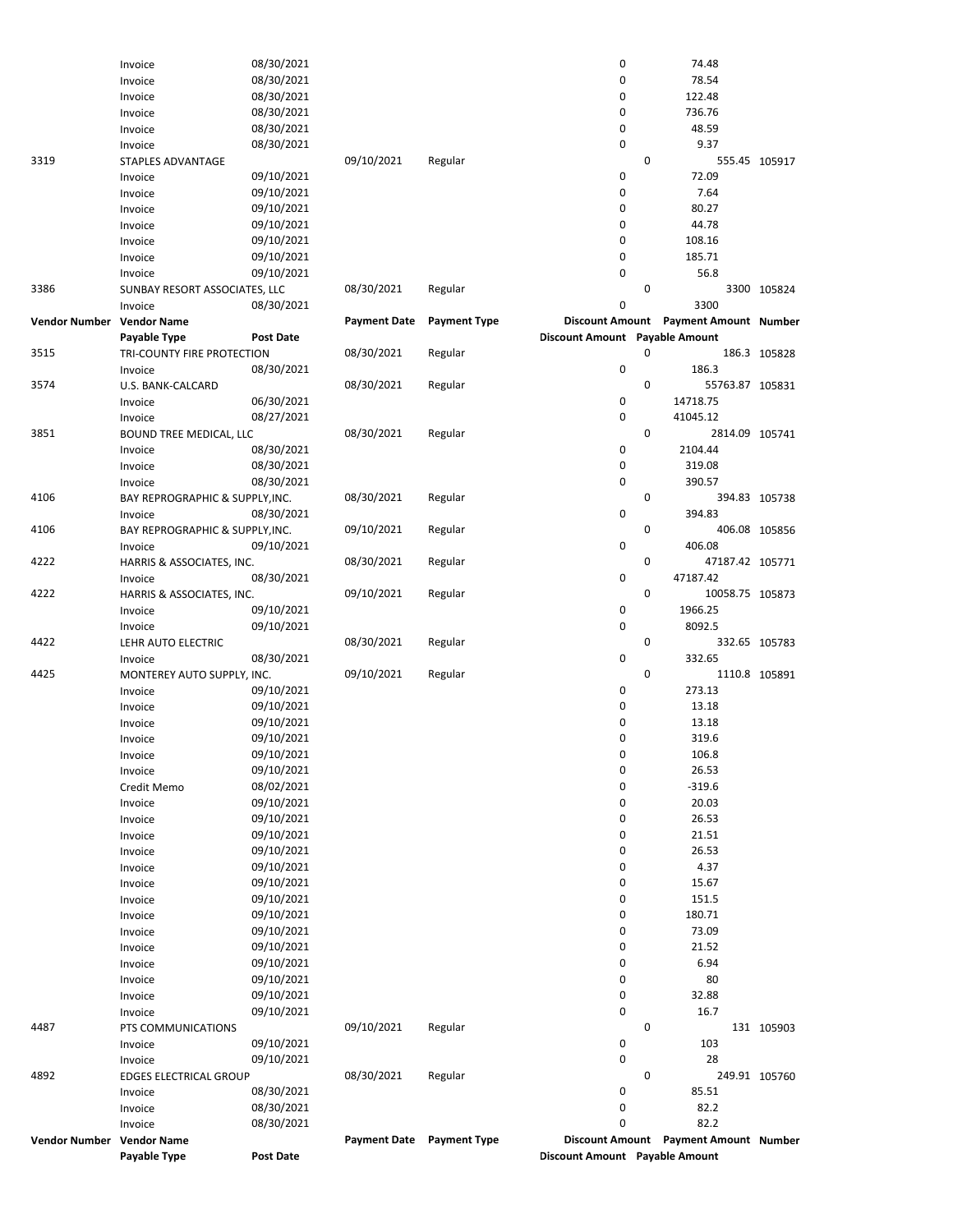|                           | Invoice                         | 08/30/2021       |                     |                     | 0                              |             | 74.48                                 |               |
|---------------------------|---------------------------------|------------------|---------------------|---------------------|--------------------------------|-------------|---------------------------------------|---------------|
|                           | Invoice                         | 08/30/2021       |                     |                     | 0                              |             | 78.54                                 |               |
|                           | Invoice                         | 08/30/2021       |                     |                     | 0                              |             | 122.48                                |               |
|                           | Invoice                         | 08/30/2021       |                     |                     | 0                              |             | 736.76                                |               |
|                           | Invoice                         | 08/30/2021       |                     |                     | 0                              |             | 48.59                                 |               |
|                           | Invoice                         | 08/30/2021       |                     |                     | 0                              |             | 9.37                                  |               |
| 3319                      | STAPLES ADVANTAGE               |                  | 09/10/2021          | Regular             |                                | 0           |                                       | 555.45 105917 |
|                           | Invoice                         | 09/10/2021       |                     |                     | 0                              |             | 72.09                                 |               |
|                           | Invoice                         | 09/10/2021       |                     |                     | 0                              |             | 7.64                                  |               |
|                           | Invoice                         | 09/10/2021       |                     |                     | 0                              |             | 80.27                                 |               |
|                           | Invoice                         | 09/10/2021       |                     |                     | 0                              |             | 44.78                                 |               |
|                           | Invoice                         | 09/10/2021       |                     |                     | 0                              |             | 108.16                                |               |
|                           | Invoice                         | 09/10/2021       |                     |                     | 0                              |             | 185.71                                |               |
|                           | Invoice                         | 09/10/2021       |                     |                     | 0                              |             | 56.8                                  |               |
| 3386                      | SUNBAY RESORT ASSOCIATES, LLC   |                  | 08/30/2021          | Regular             |                                | 0           |                                       | 3300 105824   |
|                           | Invoice                         | 08/30/2021       |                     |                     | 0                              |             | 3300                                  |               |
| Vendor Number Vendor Name |                                 |                  | <b>Payment Date</b> | <b>Payment Type</b> |                                |             | Discount Amount Payment Amount Number |               |
|                           | Payable Type                    | <b>Post Date</b> |                     |                     | Discount Amount Payable Amount |             |                                       |               |
| 3515                      | TRI-COUNTY FIRE PROTECTION      |                  | 08/30/2021          | Regular             |                                | 0           |                                       | 186.3 105828  |
|                           |                                 | 08/30/2021       |                     |                     | 0                              |             | 186.3                                 |               |
|                           | Invoice                         |                  |                     |                     |                                | $\mathbf 0$ |                                       |               |
| 3574                      | U.S. BANK-CALCARD               |                  | 08/30/2021          | Regular             |                                |             | 55763.87 105831                       |               |
|                           | Invoice                         | 06/30/2021       |                     |                     | 0                              |             | 14718.75                              |               |
|                           | Invoice                         | 08/27/2021       |                     |                     | 0                              |             | 41045.12                              |               |
| 3851                      | BOUND TREE MEDICAL, LLC         |                  | 08/30/2021          | Regular             |                                | 0           | 2814.09 105741                        |               |
|                           | Invoice                         | 08/30/2021       |                     |                     | 0                              |             | 2104.44                               |               |
|                           | Invoice                         | 08/30/2021       |                     |                     | 0                              |             | 319.08                                |               |
|                           | Invoice                         | 08/30/2021       |                     |                     | 0                              |             | 390.57                                |               |
| 4106                      | BAY REPROGRAPHIC & SUPPLY, INC. |                  | 08/30/2021          | Regular             |                                | 0           |                                       | 394.83 105738 |
|                           | Invoice                         | 08/30/2021       |                     |                     | 0                              |             | 394.83                                |               |
| 4106                      | BAY REPROGRAPHIC & SUPPLY, INC. |                  | 09/10/2021          | Regular             |                                | 0           |                                       | 406.08 105856 |
|                           | Invoice                         | 09/10/2021       |                     |                     | 0                              |             | 406.08                                |               |
| 4222                      | HARRIS & ASSOCIATES, INC.       |                  | 08/30/2021          | Regular             |                                | $\mathbf 0$ | 47187.42 105771                       |               |
|                           |                                 | 08/30/2021       |                     |                     | 0                              |             | 47187.42                              |               |
| 4222                      | Invoice                         |                  |                     |                     |                                | $\mathbf 0$ | 10058.75 105873                       |               |
|                           | HARRIS & ASSOCIATES, INC.       |                  | 09/10/2021          | Regular             |                                |             |                                       |               |
|                           | Invoice                         | 09/10/2021       |                     |                     | 0                              |             | 1966.25                               |               |
|                           | Invoice                         | 09/10/2021       |                     |                     | 0                              |             | 8092.5                                |               |
| 4422                      | LEHR AUTO ELECTRIC              |                  | 08/30/2021          | Regular             |                                | 0           |                                       | 332.65 105783 |
|                           | Invoice                         | 08/30/2021       |                     |                     | 0                              |             | 332.65                                |               |
| 4425                      | MONTEREY AUTO SUPPLY, INC.      |                  | 09/10/2021          | Regular             |                                | $\mathbf 0$ |                                       | 1110.8 105891 |
|                           | Invoice                         | 09/10/2021       |                     |                     | 0                              |             | 273.13                                |               |
|                           | Invoice                         | 09/10/2021       |                     |                     | 0                              |             | 13.18                                 |               |
|                           | Invoice                         | 09/10/2021       |                     |                     | 0                              |             | 13.18                                 |               |
|                           | Invoice                         | 09/10/2021       |                     |                     | 0                              |             | 319.6                                 |               |
|                           | Invoice                         | 09/10/2021       |                     |                     | 0                              |             | 106.8                                 |               |
|                           | Invoice                         | 09/10/2021       |                     |                     | 0                              |             | 26.53                                 |               |
|                           | Credit Memo                     | 08/02/2021       |                     |                     | 0                              |             | $-319.6$                              |               |
|                           | Invoice                         | 09/10/2021       |                     |                     | 0                              |             | 20.03                                 |               |
|                           | Invoice                         | 09/10/2021       |                     |                     | 0                              |             | 26.53                                 |               |
|                           | Invoice                         | 09/10/2021       |                     |                     | 0                              |             | 21.51                                 |               |
|                           |                                 |                  |                     |                     | 0                              |             | 26.53                                 |               |
|                           | Invoice                         | 09/10/2021       |                     |                     |                                |             |                                       |               |
|                           | Invoice                         | 09/10/2021       |                     |                     | 0                              |             | 4.37                                  |               |
|                           | Invoice                         | 09/10/2021       |                     |                     | 0                              |             | 15.67                                 |               |
|                           | Invoice                         | 09/10/2021       |                     |                     | 0                              |             | 151.5                                 |               |
|                           | Invoice                         | 09/10/2021       |                     |                     | 0                              |             | 180.71                                |               |
|                           | Invoice                         | 09/10/2021       |                     |                     | 0                              |             | 73.09                                 |               |
|                           | Invoice                         | 09/10/2021       |                     |                     | 0                              |             | 21.52                                 |               |
|                           | Invoice                         | 09/10/2021       |                     |                     | 0                              |             | 6.94                                  |               |
|                           | Invoice                         | 09/10/2021       |                     |                     | 0                              |             | 80                                    |               |
|                           | Invoice                         | 09/10/2021       |                     |                     | 0                              |             | 32.88                                 |               |
|                           | Invoice                         | 09/10/2021       |                     |                     | 0                              |             | 16.7                                  |               |
| 4487                      | PTS COMMUNICATIONS              |                  | 09/10/2021          | Regular             |                                | 0           |                                       | 131 105903    |
|                           | Invoice                         | 09/10/2021       |                     |                     | 0                              |             | 103                                   |               |
|                           | Invoice                         | 09/10/2021       |                     |                     | 0                              |             | 28                                    |               |
| 4892                      | <b>EDGES ELECTRICAL GROUP</b>   |                  | 08/30/2021          | Regular             |                                | 0           |                                       | 249.91 105760 |
|                           |                                 | 08/30/2021       |                     |                     | 0                              |             | 85.51                                 |               |
|                           | Invoice                         |                  |                     |                     | 0                              |             | 82.2                                  |               |
|                           | Invoice                         | 08/30/2021       |                     |                     |                                |             |                                       |               |
|                           | Invoice                         | 08/30/2021       |                     |                     | 0                              |             | 82.2                                  |               |
| Vendor Number Vendor Name |                                 |                  | <b>Payment Date</b> | <b>Payment Type</b> |                                |             | Discount Amount Payment Amount Number |               |
|                           | Payable Type                    | Post Date        |                     |                     | Discount Amount Payable Amount |             |                                       |               |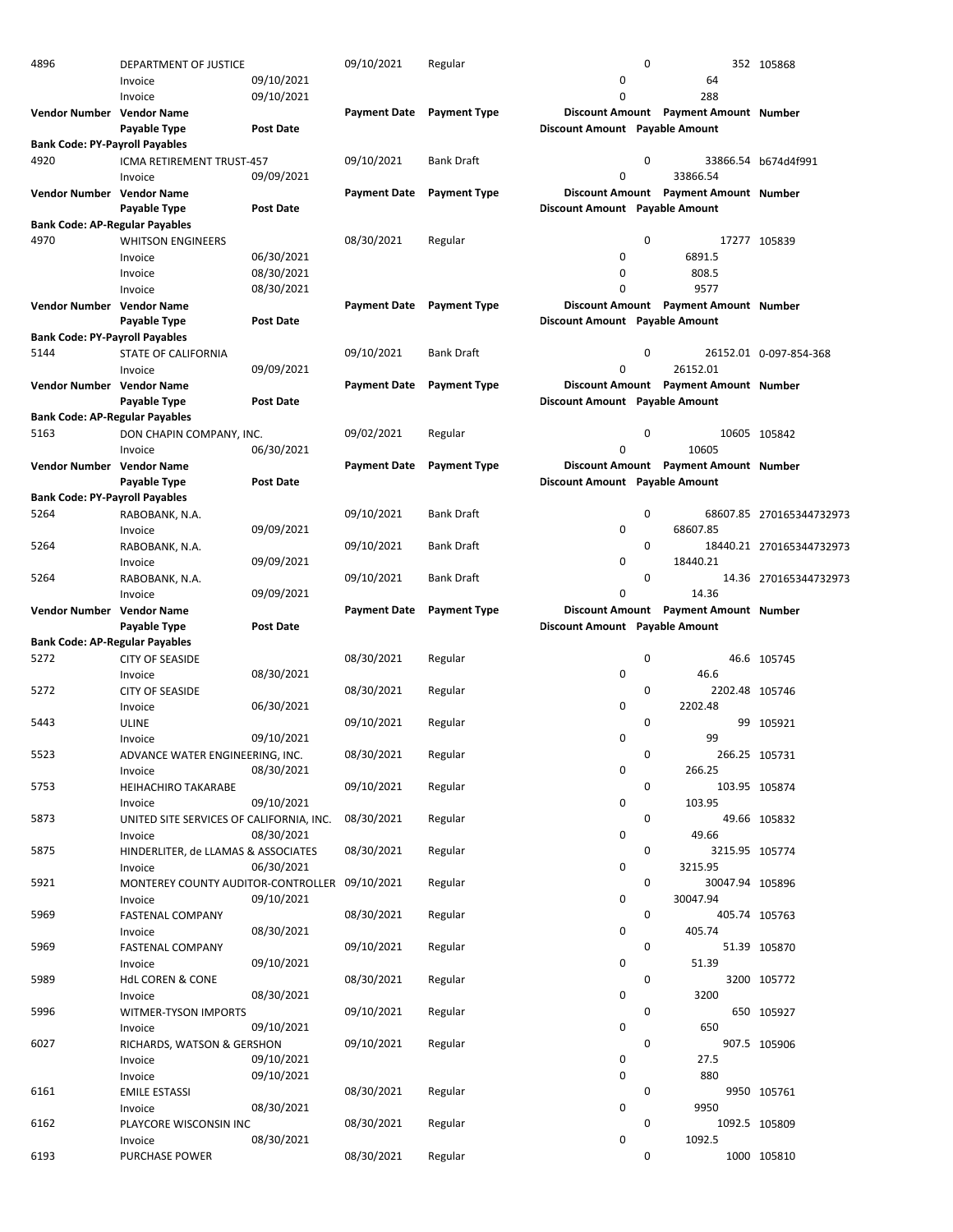| 4896                                  | DEPARTMENT OF JUSTICE                    |                  | 09/10/2021   | Regular             |                                | 0           |                                       | 352 105868               |
|---------------------------------------|------------------------------------------|------------------|--------------|---------------------|--------------------------------|-------------|---------------------------------------|--------------------------|
|                                       | Invoice                                  | 09/10/2021       |              |                     | 0                              |             | 64                                    |                          |
|                                       | Invoice                                  | 09/10/2021       |              |                     | 0                              |             | 288                                   |                          |
| <b>Vendor Number Vendor Name</b>      |                                          |                  | Payment Date | <b>Payment Type</b> |                                |             | Discount Amount Payment Amount Number |                          |
|                                       | Payable Type                             | Post Date        |              |                     | Discount Amount Payable Amount |             |                                       |                          |
| <b>Bank Code: PY-Payroll Payables</b> |                                          |                  |              |                     |                                |             |                                       |                          |
| 4920                                  | ICMA RETIREMENT TRUST-457                |                  | 09/10/2021   | <b>Bank Draft</b>   |                                | 0           |                                       | 33866.54 b674d4f991      |
|                                       | Invoice                                  | 09/09/2021       |              |                     | 0                              |             | 33866.54                              |                          |
| Vendor Number Vendor Name             |                                          |                  | Payment Date | <b>Payment Type</b> |                                |             | Discount Amount Payment Amount Number |                          |
|                                       | Payable Type                             | <b>Post Date</b> |              |                     | Discount Amount Payable Amount |             |                                       |                          |
| <b>Bank Code: AP-Regular Payables</b> |                                          |                  |              |                     |                                |             |                                       |                          |
| 4970                                  | <b>WHITSON ENGINEERS</b>                 |                  | 08/30/2021   | Regular             |                                | $\mathbf 0$ |                                       | 17277 105839             |
|                                       | Invoice                                  | 06/30/2021       |              |                     | 0                              |             | 6891.5                                |                          |
|                                       |                                          |                  |              |                     |                                |             |                                       |                          |
|                                       | Invoice                                  | 08/30/2021       |              |                     | 0<br>0                         |             | 808.5                                 |                          |
|                                       | Invoice                                  | 08/30/2021       |              |                     |                                |             | 9577                                  |                          |
| Vendor Number Vendor Name             |                                          |                  | Payment Date | <b>Payment Type</b> |                                |             | Discount Amount Payment Amount Number |                          |
|                                       | Payable Type                             | Post Date        |              |                     | Discount Amount Payable Amount |             |                                       |                          |
| <b>Bank Code: PY-Payroll Payables</b> |                                          |                  |              |                     |                                |             |                                       |                          |
| 5144                                  | STATE OF CALIFORNIA                      |                  | 09/10/2021   | <b>Bank Draft</b>   |                                | 0           |                                       | 26152.01 0-097-854-368   |
|                                       | Invoice                                  | 09/09/2021       |              |                     | 0                              |             | 26152.01                              |                          |
| Vendor Number Vendor Name             |                                          |                  | Payment Date | <b>Payment Type</b> |                                |             | Discount Amount Payment Amount Number |                          |
|                                       | Payable Type                             | Post Date        |              |                     | Discount Amount Payable Amount |             |                                       |                          |
| <b>Bank Code: AP-Regular Payables</b> |                                          |                  |              |                     |                                |             |                                       |                          |
| 5163                                  | DON CHAPIN COMPANY, INC.                 |                  | 09/02/2021   | Regular             |                                | 0           |                                       | 10605 105842             |
|                                       | Invoice                                  | 06/30/2021       |              |                     | 0                              |             | 10605                                 |                          |
| Vendor Number Vendor Name             |                                          |                  | Payment Date | <b>Payment Type</b> |                                |             | Discount Amount Payment Amount Number |                          |
|                                       | Payable Type                             | Post Date        |              |                     | Discount Amount Payable Amount |             |                                       |                          |
| <b>Bank Code: PY-Payroll Payables</b> |                                          |                  |              |                     |                                |             |                                       |                          |
| 5264                                  | RABOBANK, N.A.                           |                  | 09/10/2021   | <b>Bank Draft</b>   |                                | 0           |                                       | 68607.85 270165344732973 |
|                                       | Invoice                                  | 09/09/2021       |              |                     | 0                              |             | 68607.85                              |                          |
| 5264                                  | RABOBANK, N.A.                           |                  | 09/10/2021   | <b>Bank Draft</b>   |                                | 0           |                                       | 18440.21 270165344732973 |
|                                       |                                          | 09/09/2021       |              |                     | 0                              |             | 18440.21                              |                          |
| 5264                                  | Invoice                                  |                  | 09/10/2021   | <b>Bank Draft</b>   |                                | 0           |                                       |                          |
|                                       | RABOBANK, N.A.                           |                  |              |                     |                                |             |                                       | 14.36 270165344732973    |
|                                       | Invoice                                  | 09/09/2021       |              |                     | 0                              |             | 14.36                                 |                          |
| Vendor Number Vendor Name             |                                          |                  | Payment Date | <b>Payment Type</b> |                                |             | Discount Amount Payment Amount Number |                          |
|                                       | Payable Type                             | Post Date        |              |                     |                                |             |                                       |                          |
|                                       |                                          |                  |              |                     | Discount Amount Payable Amount |             |                                       |                          |
| <b>Bank Code: AP-Regular Payables</b> |                                          |                  |              |                     |                                |             |                                       |                          |
| 5272                                  | <b>CITY OF SEASIDE</b>                   |                  | 08/30/2021   | Regular             |                                | 0           |                                       | 46.6 105745              |
|                                       | Invoice                                  | 08/30/2021       |              |                     | 0                              |             | 46.6                                  |                          |
| 5272                                  | <b>CITY OF SEASIDE</b>                   |                  | 08/30/2021   | Regular             |                                | 0           | 2202.48 105746                        |                          |
|                                       | Invoice                                  | 06/30/2021       |              |                     | 0                              |             | 2202.48                               |                          |
| 5443                                  | <b>ULINE</b>                             |                  | 09/10/2021   | Regular             |                                | $\Omega$    |                                       | 99 105921                |
|                                       | Invoice                                  | 09/10/2021       |              |                     | 0                              |             | 99                                    |                          |
|                                       |                                          |                  |              |                     |                                | 0           |                                       |                          |
| 5523                                  | ADVANCE WATER ENGINEERING, INC.          |                  | 08/30/2021   | Regular             |                                |             |                                       | 266.25 105731            |
|                                       | Invoice                                  | 08/30/2021       |              |                     | 0                              |             | 266.25                                |                          |
| 5753                                  | <b>HEIHACHIRO TAKARABE</b>               |                  | 09/10/2021   | Regular             |                                | 0           |                                       | 103.95 105874            |
|                                       | Invoice                                  | 09/10/2021       |              |                     | 0                              |             | 103.95                                |                          |
| 5873                                  | UNITED SITE SERVICES OF CALIFORNIA, INC. |                  | 08/30/2021   | Regular             |                                | 0           |                                       | 49.66 105832             |
|                                       | Invoice                                  | 08/30/2021       |              |                     | 0                              |             | 49.66                                 |                          |
| 5875                                  | HINDERLITER, de LLAMAS & ASSOCIATES      |                  | 08/30/2021   | Regular             |                                | 0           | 3215.95 105774                        |                          |
|                                       | Invoice                                  | 06/30/2021       |              |                     | 0                              |             | 3215.95                               |                          |
| 5921                                  | MONTEREY COUNTY AUDITOR-CONTROLLER       |                  | 09/10/2021   | Regular             |                                | 0           | 30047.94 105896                       |                          |
|                                       | Invoice                                  | 09/10/2021       |              |                     | 0                              |             | 30047.94                              |                          |
| 5969                                  | FASTENAL COMPANY                         |                  | 08/30/2021   | Regular             |                                | 0           |                                       | 405.74 105763            |
|                                       | Invoice                                  | 08/30/2021       |              |                     | 0                              |             | 405.74                                |                          |
| 5969                                  | FASTENAL COMPANY                         |                  | 09/10/2021   | Regular             |                                | 0           |                                       | 51.39 105870             |
|                                       | Invoice                                  | 09/10/2021       |              |                     | 0                              |             | 51.39                                 |                          |
| 5989                                  | <b>HdL COREN &amp; CONE</b>              |                  | 08/30/2021   | Regular             |                                | 0           |                                       | 3200 105772              |
|                                       | Invoice                                  | 08/30/2021       |              |                     | 0                              |             | 3200                                  |                          |
| 5996                                  | WITMER-TYSON IMPORTS                     |                  | 09/10/2021   | Regular             |                                | 0           |                                       | 650 105927               |
|                                       | Invoice                                  | 09/10/2021       |              |                     | 0                              |             | 650                                   |                          |
| 6027                                  | RICHARDS, WATSON & GERSHON               |                  | 09/10/2021   | Regular             |                                | 0           |                                       | 907.5 105906             |
|                                       | Invoice                                  | 09/10/2021       |              |                     | 0                              |             | 27.5                                  |                          |
|                                       |                                          |                  |              |                     |                                |             |                                       |                          |
|                                       | Invoice                                  | 09/10/2021       |              |                     | 0                              |             | 880                                   |                          |
| 6161                                  | <b>EMILE ESTASSI</b>                     |                  | 08/30/2021   | Regular             |                                | 0           |                                       | 9950 105761              |
|                                       | Invoice                                  | 08/30/2021       |              |                     | 0                              |             | 9950                                  |                          |
| 6162                                  | PLAYCORE WISCONSIN INC                   |                  | 08/30/2021   | Regular             |                                | 0           |                                       | 1092.5 105809            |
| 6193                                  | Invoice<br>PURCHASE POWER                | 08/30/2021       | 08/30/2021   | Regular             | 0                              | 0           | 1092.5                                | 1000 105810              |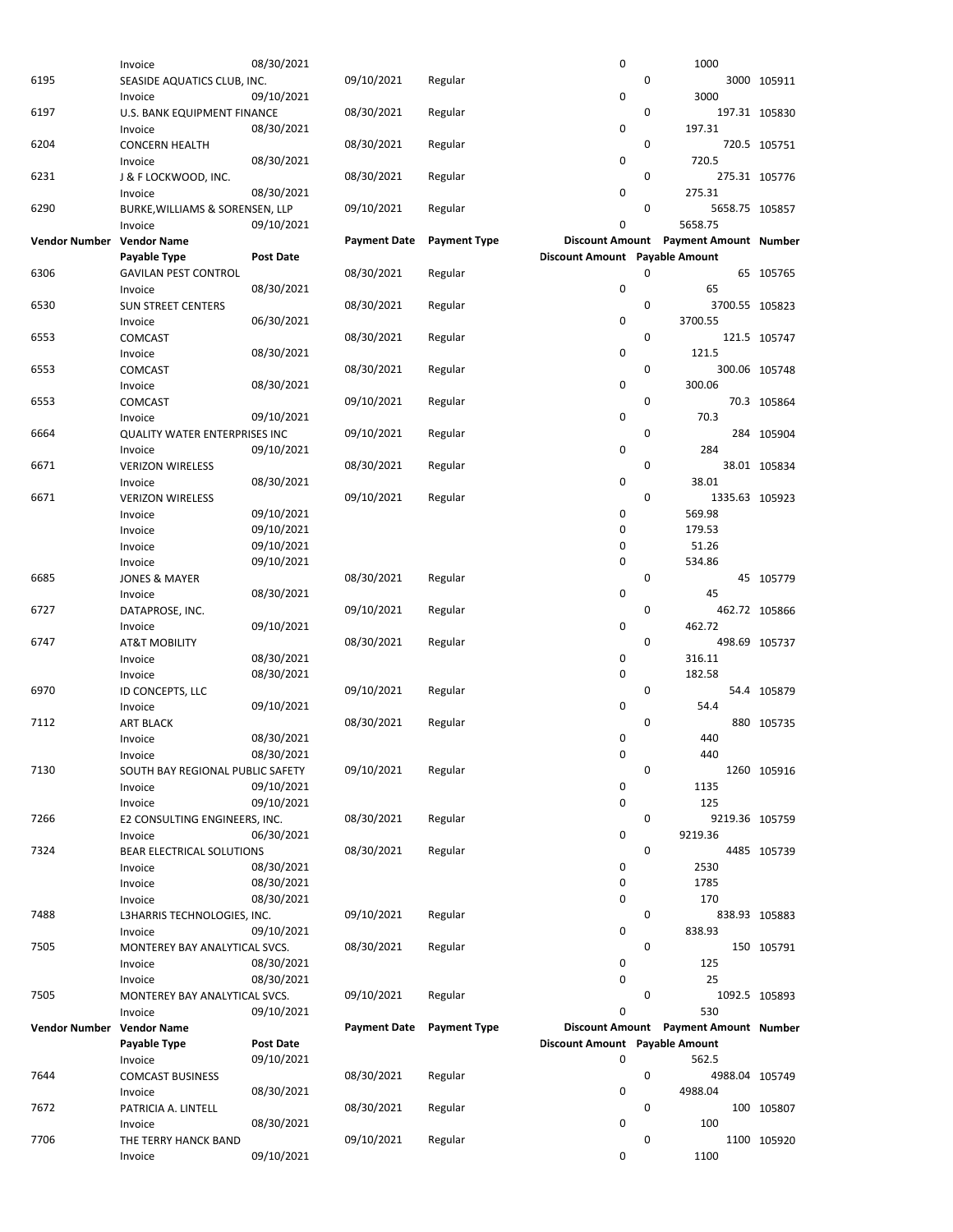|                           | Invoice                          | 08/30/2021       |                     |                     | 0                              |   | 1000                                  |               |
|---------------------------|----------------------------------|------------------|---------------------|---------------------|--------------------------------|---|---------------------------------------|---------------|
| 6195                      | SEASIDE AQUATICS CLUB, INC.      |                  | 09/10/2021          | Regular             |                                | 0 |                                       | 3000 105911   |
|                           | Invoice                          | 09/10/2021       |                     |                     | 0                              |   | 3000                                  |               |
| 6197                      | U.S. BANK EQUIPMENT FINANCE      |                  | 08/30/2021          | Regular             |                                | 0 |                                       | 197.31 105830 |
|                           | Invoice                          | 08/30/2021       |                     |                     | $\mathbf 0$                    |   | 197.31                                |               |
| 6204                      | <b>CONCERN HEALTH</b>            |                  | 08/30/2021          | Regular             |                                | 0 |                                       | 720.5 105751  |
|                           | Invoice                          | 08/30/2021       |                     |                     | 0                              |   | 720.5                                 |               |
| 6231                      | J & F LOCKWOOD, INC.             |                  | 08/30/2021          | Regular             |                                | 0 |                                       | 275.31 105776 |
|                           | Invoice                          | 08/30/2021       |                     |                     | $\mathbf 0$                    |   | 275.31                                |               |
| 6290                      | BURKE, WILLIAMS & SORENSEN, LLP  |                  | 09/10/2021          | Regular             |                                | 0 | 5658.75 105857                        |               |
|                           | Invoice                          | 09/10/2021       |                     |                     | 0                              |   | 5658.75                               |               |
| <b>Vendor Number</b>      | <b>Vendor Name</b>               |                  | <b>Payment Date</b> | <b>Payment Type</b> |                                |   | Discount Amount Payment Amount Number |               |
|                           | Payable Type                     | <b>Post Date</b> |                     |                     | Discount Amount Payable Amount |   |                                       |               |
| 6306                      | <b>GAVILAN PEST CONTROL</b>      |                  | 08/30/2021          | Regular             |                                | 0 |                                       | 65 105765     |
|                           | Invoice                          | 08/30/2021       |                     |                     | 0                              |   | 65                                    |               |
| 6530                      | <b>SUN STREET CENTERS</b>        |                  | 08/30/2021          | Regular             |                                | 0 | 3700.55 105823                        |               |
|                           |                                  |                  |                     |                     | 0                              |   | 3700.55                               |               |
|                           | Invoice                          | 06/30/2021       |                     |                     |                                |   |                                       |               |
| 6553                      | <b>COMCAST</b>                   |                  | 08/30/2021          | Regular             |                                | 0 |                                       | 121.5 105747  |
|                           | Invoice                          | 08/30/2021       |                     |                     | 0                              |   | 121.5                                 |               |
| 6553                      | <b>COMCAST</b>                   |                  | 08/30/2021          | Regular             |                                | 0 |                                       | 300.06 105748 |
|                           | Invoice                          | 08/30/2021       |                     |                     | 0                              |   | 300.06                                |               |
| 6553                      | <b>COMCAST</b>                   |                  | 09/10/2021          | Regular             |                                | 0 |                                       | 70.3 105864   |
|                           | Invoice                          | 09/10/2021       |                     |                     | $\mathbf 0$                    |   | 70.3                                  |               |
| 6664                      | QUALITY WATER ENTERPRISES INC    |                  | 09/10/2021          | Regular             |                                | 0 |                                       | 284 105904    |
|                           | Invoice                          | 09/10/2021       |                     |                     | 0                              |   | 284                                   |               |
| 6671                      | <b>VERIZON WIRELESS</b>          |                  | 08/30/2021          | Regular             |                                | 0 |                                       | 38.01 105834  |
|                           | Invoice                          | 08/30/2021       |                     |                     | $\mathbf 0$                    |   | 38.01                                 |               |
| 6671                      | <b>VERIZON WIRELESS</b>          |                  | 09/10/2021          | Regular             |                                | 0 | 1335.63 105923                        |               |
|                           |                                  | 09/10/2021       |                     |                     | 0                              |   | 569.98                                |               |
|                           | Invoice                          |                  |                     |                     |                                |   |                                       |               |
|                           | Invoice                          | 09/10/2021       |                     |                     | 0                              |   | 179.53                                |               |
|                           | Invoice                          | 09/10/2021       |                     |                     | 0                              |   | 51.26                                 |               |
|                           | Invoice                          | 09/10/2021       |                     |                     | 0                              |   | 534.86                                |               |
| 6685                      | <b>JONES &amp; MAYER</b>         |                  | 08/30/2021          | Regular             |                                | 0 |                                       | 45 105779     |
|                           | Invoice                          | 08/30/2021       |                     |                     | 0                              |   | 45                                    |               |
| 6727                      | DATAPROSE, INC.                  |                  | 09/10/2021          | Regular             |                                | 0 |                                       | 462.72 105866 |
|                           | Invoice                          | 09/10/2021       |                     |                     | 0                              |   | 462.72                                |               |
| 6747                      | <b>AT&amp;T MOBILITY</b>         |                  | 08/30/2021          | Regular             |                                | 0 |                                       | 498.69 105737 |
|                           | Invoice                          | 08/30/2021       |                     |                     | 0                              |   | 316.11                                |               |
|                           | Invoice                          | 08/30/2021       |                     |                     | $\mathbf 0$                    |   | 182.58                                |               |
| 6970                      | ID CONCEPTS, LLC                 |                  | 09/10/2021          | Regular             |                                | 0 |                                       | 54.4 105879   |
|                           | Invoice                          | 09/10/2021       |                     |                     | 0                              |   | 54.4                                  |               |
| 7112                      | <b>ART BLACK</b>                 |                  | 08/30/2021          | Regular             |                                | 0 |                                       | 880 105735    |
|                           |                                  |                  |                     |                     | 0                              |   | 440                                   |               |
|                           | Invoice                          | 08/30/2021       |                     |                     |                                |   |                                       |               |
|                           | Invoice                          | 08/30/2021       |                     |                     | 0                              |   | 440                                   |               |
| 7130                      | SOUTH BAY REGIONAL PUBLIC SAFETY |                  | 09/10/2021          | Regular             |                                | 0 |                                       | 1260 105916   |
|                           | Invoice                          | 09/10/2021       |                     |                     | 0                              |   | 1135                                  |               |
|                           | Invoice                          | 09/10/2021       |                     |                     | 0                              |   | 125                                   |               |
| 7266                      | E2 CONSULTING ENGINEERS, INC.    |                  | 08/30/2021          | Regular             |                                | 0 | 9219.36 105759                        |               |
|                           | Invoice                          | 06/30/2021       |                     |                     | 0                              |   | 9219.36                               |               |
| 7324                      | BEAR ELECTRICAL SOLUTIONS        |                  | 08/30/2021          | Regular             |                                | 0 |                                       | 4485 105739   |
|                           | Invoice                          | 08/30/2021       |                     |                     | 0                              |   | 2530                                  |               |
|                           | Invoice                          | 08/30/2021       |                     |                     | 0                              |   | 1785                                  |               |
|                           | Invoice                          | 08/30/2021       |                     |                     | 0                              |   | 170                                   |               |
| 7488                      | L3HARRIS TECHNOLOGIES, INC.      |                  | 09/10/2021          | Regular             |                                | 0 |                                       | 838.93 105883 |
|                           | Invoice                          | 09/10/2021       |                     |                     | 0                              |   | 838.93                                |               |
| 7505                      |                                  |                  | 08/30/2021          | Regular             |                                | 0 |                                       | 150 105791    |
|                           | MONTEREY BAY ANALYTICAL SVCS.    |                  |                     |                     | 0                              |   | 125                                   |               |
|                           | Invoice                          | 08/30/2021       |                     |                     |                                |   |                                       |               |
|                           | Invoice                          | 08/30/2021       |                     |                     | 0                              |   | 25                                    |               |
| 7505                      | MONTEREY BAY ANALYTICAL SVCS.    |                  | 09/10/2021          | Regular             |                                | 0 |                                       | 1092.5 105893 |
|                           | Invoice                          | 09/10/2021       |                     |                     | 0                              |   | 530                                   |               |
| Vendor Number Vendor Name |                                  |                  | <b>Payment Date</b> | <b>Payment Type</b> |                                |   | Discount Amount Payment Amount Number |               |
|                           | Payable Type                     | <b>Post Date</b> |                     |                     | Discount Amount Payable Amount |   |                                       |               |
|                           | Invoice                          | 09/10/2021       |                     |                     | 0                              |   | 562.5                                 |               |
| 7644                      | <b>COMCAST BUSINESS</b>          |                  | 08/30/2021          | Regular             |                                | 0 | 4988.04 105749                        |               |
|                           | Invoice                          | 08/30/2021       |                     |                     | 0                              |   | 4988.04                               |               |
| 7672                      | PATRICIA A. LINTELL              |                  | 08/30/2021          | Regular             |                                | 0 |                                       | 100 105807    |
|                           | Invoice                          | 08/30/2021       |                     |                     | 0                              |   | 100                                   |               |
| 7706                      | THE TERRY HANCK BAND             |                  | 09/10/2021          | Regular             |                                | 0 |                                       | 1100 105920   |
|                           | Invoice                          | 09/10/2021       |                     |                     | 0                              |   | 1100                                  |               |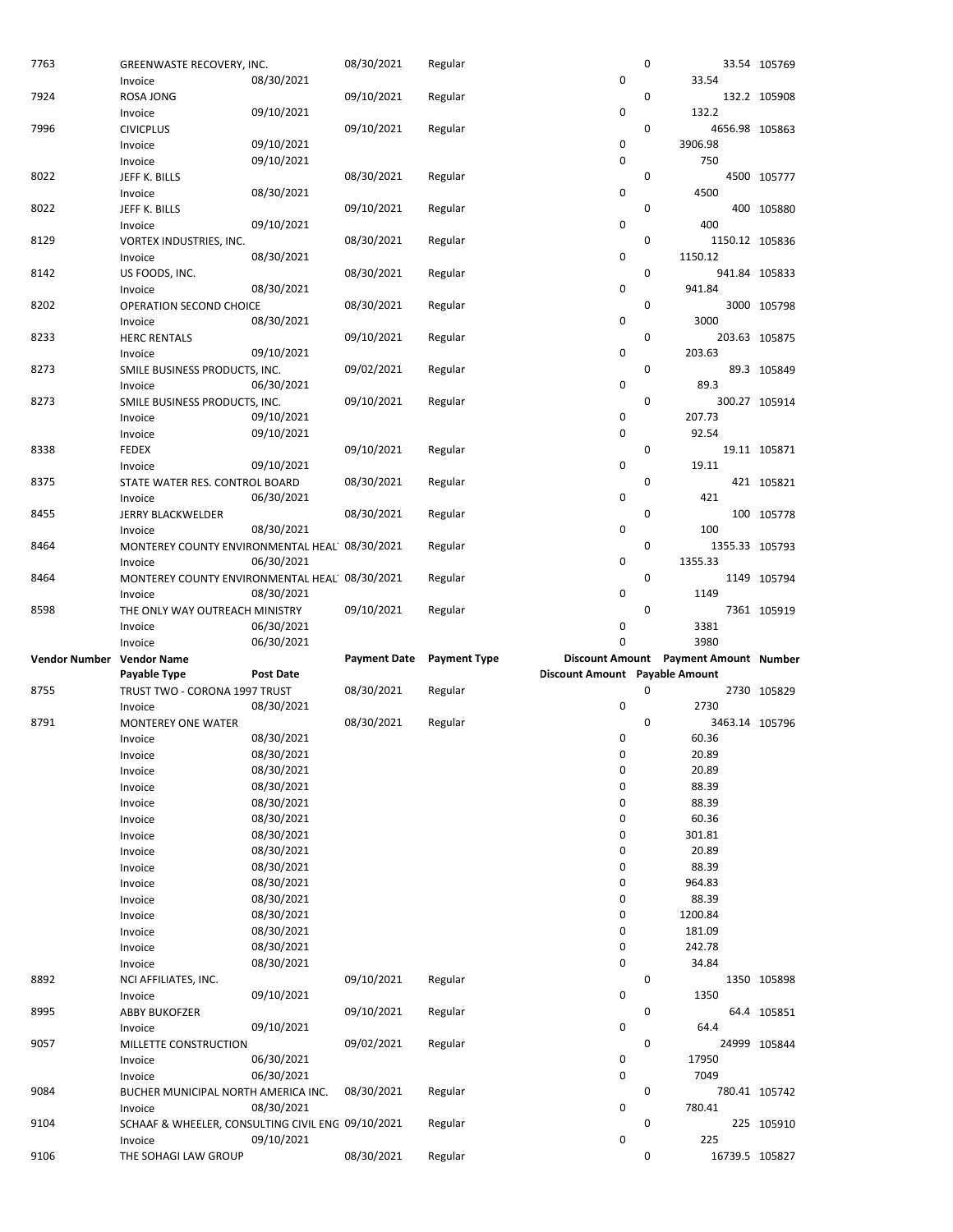| 7763                      | GREENWASTE RECOVERY, INC.                                    | 08/30/2021               | 08/30/2021          | Regular             | 0                              | $\mathbf 0$ | 33.54                                 | 33.54 105769  |
|---------------------------|--------------------------------------------------------------|--------------------------|---------------------|---------------------|--------------------------------|-------------|---------------------------------------|---------------|
| 7924                      | Invoice<br><b>ROSA JONG</b>                                  |                          | 09/10/2021          | Regular             |                                | 0           |                                       | 132.2 105908  |
|                           | Invoice                                                      | 09/10/2021               |                     |                     | 0                              |             | 132.2                                 |               |
| 7996                      | <b>CIVICPLUS</b><br>Invoice                                  | 09/10/2021               | 09/10/2021          | Regular             | 0                              | 0           | 4656.98 105863<br>3906.98             |               |
|                           | Invoice                                                      | 09/10/2021               |                     |                     | 0                              |             | 750                                   |               |
| 8022                      | JEFF K. BILLS                                                |                          | 08/30/2021          | Regular             |                                | 0           |                                       | 4500 105777   |
|                           | Invoice                                                      | 08/30/2021               |                     |                     | 0                              |             | 4500                                  |               |
| 8022                      | JEFF K. BILLS<br>Invoice                                     | 09/10/2021               | 09/10/2021          | Regular             | 0                              | $\mathbf 0$ | 400                                   | 400 105880    |
| 8129                      | VORTEX INDUSTRIES, INC.                                      |                          | 08/30/2021          | Regular             |                                | 0           | 1150.12 105836                        |               |
|                           | Invoice                                                      | 08/30/2021               |                     |                     | 0                              |             | 1150.12                               |               |
| 8142                      | US FOODS, INC.                                               |                          | 08/30/2021          | Regular             |                                | 0           |                                       | 941.84 105833 |
|                           | Invoice                                                      | 08/30/2021               |                     |                     | 0                              |             | 941.84                                |               |
| 8202                      | OPERATION SECOND CHOICE<br>Invoice                           | 08/30/2021               | 08/30/2021          | Regular             | 0                              | 0           | 3000                                  | 3000 105798   |
| 8233                      | <b>HERC RENTALS</b>                                          |                          | 09/10/2021          | Regular             |                                | $\mathbf 0$ |                                       | 203.63 105875 |
|                           | Invoice                                                      | 09/10/2021               |                     |                     | 0                              |             | 203.63                                |               |
| 8273                      | SMILE BUSINESS PRODUCTS, INC.                                |                          | 09/02/2021          | Regular             |                                | 0           |                                       | 89.3 105849   |
| 8273                      | Invoice<br>SMILE BUSINESS PRODUCTS, INC.                     | 06/30/2021               | 09/10/2021          | Regular             | 0                              | 0           | 89.3                                  | 300.27 105914 |
|                           | Invoice                                                      | 09/10/2021               |                     |                     | 0                              |             | 207.73                                |               |
|                           | Invoice                                                      | 09/10/2021               |                     |                     | 0                              |             | 92.54                                 |               |
| 8338                      | <b>FEDEX</b>                                                 |                          | 09/10/2021          | Regular             |                                | 0           |                                       | 19.11 105871  |
| 8375                      | Invoice                                                      | 09/10/2021               | 08/30/2021          |                     | 0                              | 0           | 19.11                                 |               |
|                           | STATE WATER RES. CONTROL BOARD<br>Invoice                    | 06/30/2021               |                     | Regular             | 0                              |             | 421                                   | 421 105821    |
| 8455                      | JERRY BLACKWELDER                                            |                          | 08/30/2021          | Regular             |                                | 0           |                                       | 100 105778    |
|                           | Invoice                                                      | 08/30/2021               |                     |                     | 0                              |             | 100                                   |               |
| 8464                      | MONTEREY COUNTY ENVIRONMENTAL HEAL 08/30/2021                |                          |                     | Regular             |                                | 0           | 1355.33 105793                        |               |
| 8464                      | Invoice<br>MONTEREY COUNTY ENVIRONMENTAL HEAL 08/30/2021     | 06/30/2021               |                     | Regular             | 0                              | $\mathbf 0$ | 1355.33                               | 1149 105794   |
|                           | Invoice                                                      | 08/30/2021               |                     |                     | 0                              |             | 1149                                  |               |
|                           |                                                              |                          |                     |                     |                                |             |                                       |               |
| 8598                      | THE ONLY WAY OUTREACH MINISTRY                               |                          | 09/10/2021          | Regular             |                                | $\mathbf 0$ |                                       | 7361 105919   |
|                           | Invoice                                                      | 06/30/2021               |                     |                     | 0                              |             | 3381                                  |               |
|                           | Invoice                                                      | 06/30/2021               |                     |                     | $\Omega$                       |             | 3980                                  |               |
| Vendor Number Vendor Name |                                                              | <b>Post Date</b>         | <b>Payment Date</b> | <b>Payment Type</b> |                                |             | Discount Amount Payment Amount Number |               |
| 8755                      | Payable Type<br>TRUST TWO - CORONA 1997 TRUST                |                          | 08/30/2021          | Regular             | Discount Amount Payable Amount | $\mathbf 0$ |                                       | 2730 105829   |
|                           | Invoice                                                      | 08/30/2021               |                     |                     | 0                              |             | 2730                                  |               |
| 8791                      | <b>MONTEREY ONE WATER</b>                                    |                          | 08/30/2021          | Regular             |                                | 0           | 3463.14 105796                        |               |
|                           | Invoice                                                      | 08/30/2021               |                     |                     | 0                              |             | 60.36                                 |               |
|                           | Invoice                                                      | 08/30/2021               |                     |                     | 0                              |             | 20.89                                 |               |
|                           | Invoice                                                      | 08/30/2021               |                     |                     | 0                              |             | 20.89                                 |               |
|                           | Invoice                                                      | 08/30/2021               |                     |                     | 0                              |             | 88.39                                 |               |
|                           | Invoice                                                      | 08/30/2021               |                     |                     | 0                              |             | 88.39                                 |               |
|                           | Invoice                                                      | 08/30/2021               |                     |                     | 0                              |             | 60.36                                 |               |
|                           | Invoice                                                      | 08/30/2021               |                     |                     | 0                              |             | 301.81                                |               |
|                           | Invoice                                                      | 08/30/2021               |                     |                     | 0                              |             | 20.89                                 |               |
|                           | Invoice                                                      | 08/30/2021               |                     |                     | 0                              |             | 88.39                                 |               |
|                           | Invoice                                                      | 08/30/2021               |                     |                     | 0<br>0                         |             | 964.83                                |               |
|                           | Invoice<br>Invoice                                           | 08/30/2021               |                     |                     | 0                              |             | 88.39<br>1200.84                      |               |
|                           | Invoice                                                      | 08/30/2021<br>08/30/2021 |                     |                     | 0                              |             | 181.09                                |               |
|                           | Invoice                                                      | 08/30/2021               |                     |                     | 0                              |             | 242.78                                |               |
|                           | Invoice                                                      | 08/30/2021               |                     |                     | 0                              |             | 34.84                                 |               |
| 8892                      | NCI AFFILIATES, INC.                                         |                          | 09/10/2021          | Regular             |                                | 0           |                                       | 1350 105898   |
|                           | Invoice                                                      | 09/10/2021               |                     |                     | 0                              |             | 1350                                  |               |
| 8995                      | <b>ABBY BUKOFZER</b>                                         |                          | 09/10/2021          | Regular             |                                | 0           |                                       | 64.4 105851   |
|                           | Invoice                                                      | 09/10/2021               |                     |                     | 0                              |             | 64.4                                  |               |
| 9057                      | MILLETTE CONSTRUCTION                                        |                          | 09/02/2021          | Regular             |                                | 0           |                                       | 24999 105844  |
|                           | Invoice                                                      | 06/30/2021               |                     |                     | 0                              |             | 17950                                 |               |
|                           | Invoice                                                      | 06/30/2021               |                     |                     | 0                              |             | 7049                                  |               |
| 9084                      | BUCHER MUNICIPAL NORTH AMERICA INC.                          |                          | 08/30/2021          | Regular             |                                | 0           |                                       | 780.41 105742 |
|                           | Invoice                                                      | 08/30/2021               |                     |                     | 0                              |             | 780.41                                |               |
| 9104                      | SCHAAF & WHEELER, CONSULTING CIVIL ENC 09/10/2021<br>Invoice | 09/10/2021               |                     | Regular             | 0                              | 0           | 225                                   | 225 105910    |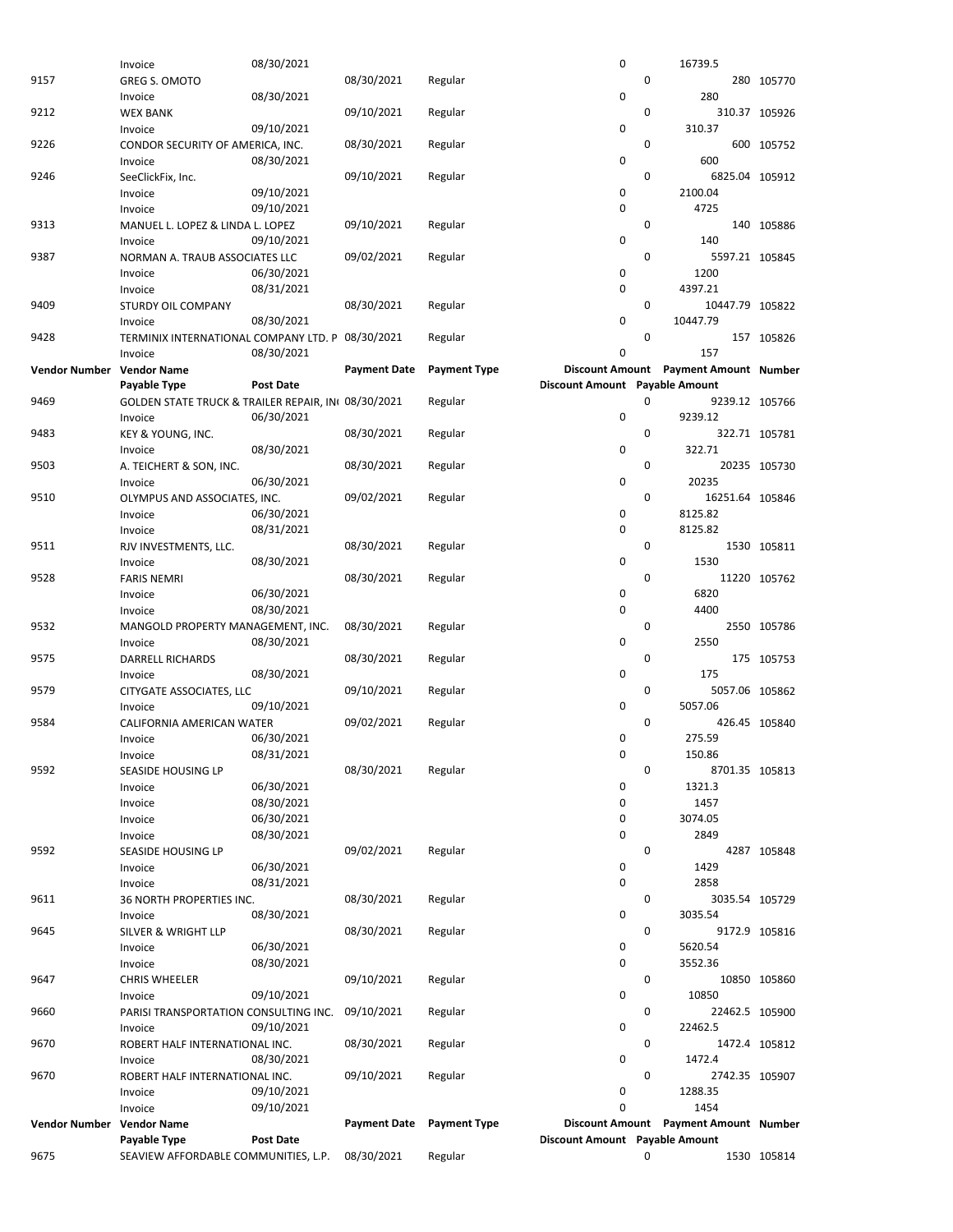|                      | Invoice                                            | 08/30/2021       |                     |                     | 0                              |   | 16739.5                               |                |
|----------------------|----------------------------------------------------|------------------|---------------------|---------------------|--------------------------------|---|---------------------------------------|----------------|
| 9157                 | <b>GREG S. OMOTO</b>                               |                  | 08/30/2021          | Regular             |                                | 0 |                                       | 280 105770     |
|                      | Invoice                                            | 08/30/2021       |                     |                     | 0                              |   | 280                                   |                |
| 9212                 | <b>WEX BANK</b>                                    |                  | 09/10/2021          | Regular             |                                | 0 |                                       | 310.37 105926  |
|                      | Invoice                                            | 09/10/2021       |                     |                     | 0                              |   | 310.37                                |                |
| 9226                 | CONDOR SECURITY OF AMERICA, INC.                   |                  | 08/30/2021          | Regular             |                                | 0 |                                       | 600 105752     |
|                      | Invoice                                            | 08/30/2021       |                     |                     | 0                              |   | 600                                   |                |
| 9246                 | SeeClickFix, Inc.                                  |                  | 09/10/2021          | Regular             |                                | 0 | 6825.04 105912                        |                |
|                      |                                                    |                  |                     |                     | 0                              |   | 2100.04                               |                |
|                      | Invoice                                            | 09/10/2021       |                     |                     |                                |   |                                       |                |
|                      | Invoice                                            | 09/10/2021       |                     |                     | 0                              |   | 4725                                  |                |
| 9313                 | MANUEL L. LOPEZ & LINDA L. LOPEZ                   |                  | 09/10/2021          | Regular             |                                | 0 |                                       | 140 105886     |
|                      | Invoice                                            | 09/10/2021       |                     |                     | 0                              |   | 140                                   |                |
| 9387                 | NORMAN A. TRAUB ASSOCIATES LLC                     |                  | 09/02/2021          | Regular             |                                | 0 | 5597.21 105845                        |                |
|                      | Invoice                                            | 06/30/2021       |                     |                     | 0                              |   | 1200                                  |                |
|                      | Invoice                                            | 08/31/2021       |                     |                     | 0                              |   | 4397.21                               |                |
| 9409                 | <b>STURDY OIL COMPANY</b>                          |                  | 08/30/2021          | Regular             |                                | 0 | 10447.79 105822                       |                |
|                      | Invoice                                            | 08/30/2021       |                     |                     | 0                              |   | 10447.79                              |                |
| 9428                 | TERMINIX INTERNATIONAL COMPANY LTD. P 08/30/2021   |                  |                     | Regular             |                                | 0 |                                       | 157 105826     |
|                      | Invoice                                            | 08/30/2021       |                     |                     | 0                              |   | 157                                   |                |
| <b>Vendor Number</b> | <b>Vendor Name</b>                                 |                  | <b>Payment Date</b> | <b>Payment Type</b> |                                |   | Discount Amount Payment Amount Number |                |
|                      | Payable Type                                       | <b>Post Date</b> |                     |                     | Discount Amount Payable Amount |   |                                       |                |
|                      |                                                    |                  |                     |                     |                                |   |                                       |                |
| 9469                 | GOLDEN STATE TRUCK & TRAILER REPAIR, IN 08/30/2021 |                  |                     | Regular             |                                | 0 | 9239.12 105766                        |                |
|                      | Invoice                                            | 06/30/2021       |                     |                     | 0                              |   | 9239.12                               |                |
| 9483                 | KEY & YOUNG, INC.                                  |                  | 08/30/2021          | Regular             |                                | 0 |                                       | 322.71 105781  |
|                      | Invoice                                            | 08/30/2021       |                     |                     | 0                              |   | 322.71                                |                |
| 9503                 | A. TEICHERT & SON, INC.                            |                  | 08/30/2021          | Regular             |                                | 0 |                                       | 20235 105730   |
|                      | Invoice                                            | 06/30/2021       |                     |                     | 0                              |   | 20235                                 |                |
| 9510                 | OLYMPUS AND ASSOCIATES, INC.                       |                  | 09/02/2021          | Regular             |                                | 0 | 16251.64 105846                       |                |
|                      | Invoice                                            | 06/30/2021       |                     |                     | 0                              |   | 8125.82                               |                |
|                      | Invoice                                            | 08/31/2021       |                     |                     | 0                              |   | 8125.82                               |                |
| 9511                 | RJV INVESTMENTS, LLC.                              |                  | 08/30/2021          | Regular             |                                | 0 |                                       | 1530 105811    |
|                      | Invoice                                            | 08/30/2021       |                     |                     | 0                              |   | 1530                                  |                |
| 9528                 |                                                    |                  | 08/30/2021          |                     |                                | 0 |                                       |                |
|                      | <b>FARIS NEMRI</b>                                 |                  |                     | Regular             |                                |   |                                       | 11220 105762   |
|                      | Invoice                                            | 06/30/2021       |                     |                     | 0                              |   | 6820                                  |                |
|                      | Invoice                                            | 08/30/2021       |                     |                     | 0                              |   | 4400                                  |                |
| 9532                 | MANGOLD PROPERTY MANAGEMENT, INC.                  |                  | 08/30/2021          | Regular             |                                | 0 |                                       | 2550 105786    |
|                      | Invoice                                            | 08/30/2021       |                     |                     | 0                              |   | 2550                                  |                |
| 9575                 | DARRELL RICHARDS                                   |                  | 08/30/2021          | Regular             |                                | 0 |                                       | 175 105753     |
|                      | Invoice                                            | 08/30/2021       |                     |                     | 0                              |   | 175                                   |                |
| 9579                 | CITYGATE ASSOCIATES, LLC                           |                  | 09/10/2021          | Regular             |                                | 0 | 5057.06 105862                        |                |
|                      | Invoice                                            | 09/10/2021       |                     |                     | 0                              |   | 5057.06                               |                |
| 9584                 | CALIFORNIA AMERICAN WATER                          |                  | 09/02/2021          | Regular             |                                | 0 |                                       | 426.45 105840  |
|                      | Invoice                                            | 06/30/2021       |                     |                     | 0                              |   | 275.59                                |                |
|                      | Invoice                                            | 08/31/2021       |                     |                     | 0                              |   | 150.86                                |                |
| 9592                 | SEASIDE HOUSING LP                                 |                  | 08/30/2021          | Regular             |                                | 0 | 8701.35 105813                        |                |
|                      | Invoice                                            | 06/30/2021       |                     |                     | 0                              |   | 1321.3                                |                |
|                      |                                                    | 08/30/2021       |                     |                     |                                |   | 1457                                  |                |
|                      | Invoice                                            |                  |                     |                     | 0                              |   |                                       |                |
|                      | Invoice                                            | 06/30/2021       |                     |                     | 0                              |   | 3074.05                               |                |
|                      | Invoice                                            | 08/30/2021       |                     |                     | 0                              |   | 2849                                  |                |
| 9592                 | SEASIDE HOUSING LP                                 |                  | 09/02/2021          | Regular             |                                | 0 |                                       | 4287 105848    |
|                      | Invoice                                            | 06/30/2021       |                     |                     | 0                              |   | 1429                                  |                |
|                      | Invoice                                            | 08/31/2021       |                     |                     | 0                              |   | 2858                                  |                |
| 9611                 | 36 NORTH PROPERTIES INC.                           |                  | 08/30/2021          | Regular             |                                | 0 |                                       | 3035.54 105729 |
|                      | Invoice                                            | 08/30/2021       |                     |                     | 0                              |   | 3035.54                               |                |
| 9645                 | <b>SILVER &amp; WRIGHT LLP</b>                     |                  | 08/30/2021          | Regular             |                                | 0 |                                       | 9172.9 105816  |
|                      | Invoice                                            | 06/30/2021       |                     |                     | 0                              |   | 5620.54                               |                |
|                      | Invoice                                            | 08/30/2021       |                     |                     | 0                              |   | 3552.36                               |                |
| 9647                 | <b>CHRIS WHEELER</b>                               |                  | 09/10/2021          | Regular             |                                | 0 |                                       | 10850 105860   |
|                      | Invoice                                            | 09/10/2021       |                     |                     | 0                              |   | 10850                                 |                |
| 9660                 | PARISI TRANSPORTATION CONSULTING INC.              |                  | 09/10/2021          | Regular             |                                | 0 | 22462.5 105900                        |                |
|                      | Invoice                                            | 09/10/2021       |                     |                     | 0                              |   | 22462.5                               |                |
|                      |                                                    |                  |                     |                     |                                |   |                                       |                |
| 9670                 | ROBERT HALF INTERNATIONAL INC.                     |                  | 08/30/2021          | Regular             |                                | 0 |                                       | 1472.4 105812  |
|                      | Invoice                                            | 08/30/2021       |                     |                     | 0                              |   | 1472.4                                |                |
| 9670                 | ROBERT HALF INTERNATIONAL INC.                     |                  | 09/10/2021          | Regular             |                                | 0 | 2742.35 105907                        |                |
|                      | Invoice                                            | 09/10/2021       |                     |                     | 0                              |   | 1288.35                               |                |
|                      | Invoice                                            | 09/10/2021       |                     |                     | 0                              |   | 1454                                  |                |
| <b>Vendor Number</b> | <b>Vendor Name</b>                                 |                  | <b>Payment Date</b> | <b>Payment Type</b> |                                |   | Discount Amount Payment Amount Number |                |
|                      | Payable Type                                       | <b>Post Date</b> |                     |                     | Discount Amount Payable Amount |   |                                       |                |
| 9675                 | SEAVIEW AFFORDABLE COMMUNITIES, L.P.               |                  | 08/30/2021          | Regular             |                                | 0 |                                       | 1530 105814    |